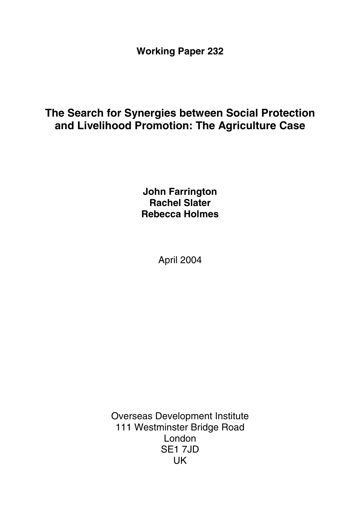**Working Paper 232** 

# **The Search for Synergies between Social Protection and Livelihood Promotion: The Agriculture Case**

**John Farrington Rachel Slater Rebecca Holmes** 

April 2004

Overseas Development Institute 111 Westminster Bridge Road London SE1 7JD UK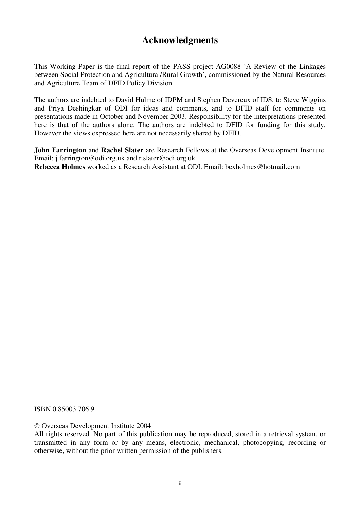# **Acknowledgments**

This Working Paper is the final report of the PASS project AG0088 'A Review of the Linkages between Social Protection and Agricultural/Rural Growth', commissioned by the Natural Resources and Agriculture Team of DFID Policy Division

The authors are indebted to David Hulme of IDPM and Stephen Devereux of IDS, to Steve Wiggins and Priya Deshingkar of ODI for ideas and comments, and to DFID staff for comments on presentations made in October and November 2003. Responsibility for the interpretations presented here is that of the authors alone. The authors are indebted to DFID for funding for this study. However the views expressed here are not necessarily shared by DFID.

**John Farrington** and **Rachel Slater** are Research Fellows at the Overseas Development Institute. Email: j.farrington@odi.org.uk and r.slater@odi.org.uk **Rebecca Holmes** worked as a Research Assistant at ODI. Email: bexholmes@hotmail.com

ISBN 0 85003 706 9

© Overseas Development Institute 2004

All rights reserved. No part of this publication may be reproduced, stored in a retrieval system, or transmitted in any form or by any means, electronic, mechanical, photocopying, recording or otherwise, without the prior written permission of the publishers.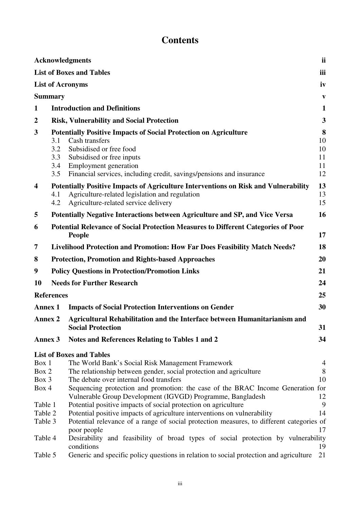# **Contents**

|                         |                                 | <b>Acknowledgments</b>                                                                                                                                                                                                                             | ii                              |
|-------------------------|---------------------------------|----------------------------------------------------------------------------------------------------------------------------------------------------------------------------------------------------------------------------------------------------|---------------------------------|
|                         |                                 | <b>List of Boxes and Tables</b>                                                                                                                                                                                                                    | iii                             |
|                         |                                 | <b>List of Acronyms</b>                                                                                                                                                                                                                            | iv                              |
|                         | <b>Summary</b>                  |                                                                                                                                                                                                                                                    | $\mathbf{v}$                    |
| $\mathbf{1}$            |                                 | <b>Introduction and Definitions</b>                                                                                                                                                                                                                | 1                               |
| $\boldsymbol{2}$        |                                 | <b>Risk, Vulnerability and Social Protection</b>                                                                                                                                                                                                   | $\mathbf{3}$                    |
| 3                       | 3.1<br>3.2<br>3.3<br>3.4<br>3.5 | <b>Potentially Positive Impacts of Social Protection on Agriculture</b><br>Cash transfers<br>Subsidised or free food<br>Subsidised or free inputs<br>Employment generation<br>Financial services, including credit, savings/pensions and insurance | 8<br>10<br>10<br>11<br>11<br>12 |
| $\overline{\mathbf{4}}$ | 4.1<br>4.2                      | Potentially Positive Impacts of Agriculture Interventions on Risk and Vulnerability<br>Agriculture-related legislation and regulation<br>Agriculture-related service delivery                                                                      | 13<br>13<br>15                  |
| 5                       |                                 | <b>Potentially Negative Interactions between Agriculture and SP, and Vice Versa</b>                                                                                                                                                                | 16                              |
| 6                       |                                 | <b>Potential Relevance of Social Protection Measures to Different Categories of Poor</b><br><b>People</b>                                                                                                                                          | 17                              |
| 7                       |                                 | <b>Livelihood Protection and Promotion: How Far Does Feasibility Match Needs?</b>                                                                                                                                                                  | 18                              |
| 8                       |                                 | <b>Protection, Promotion and Rights-based Approaches</b>                                                                                                                                                                                           | 20                              |
| 9                       |                                 | <b>Policy Questions in Protection/Promotion Links</b>                                                                                                                                                                                              | 21                              |
| 10                      |                                 | <b>Needs for Further Research</b>                                                                                                                                                                                                                  | 24                              |
|                         | <b>References</b>               |                                                                                                                                                                                                                                                    | 25                              |
| <b>Annex 1</b>          |                                 | <b>Impacts of Social Protection Interventions on Gender</b>                                                                                                                                                                                        | 30                              |
| <b>Annex 2</b>          |                                 | Agricultural Rehabilitation and the Interface between Humanitarianism and                                                                                                                                                                          |                                 |
|                         |                                 | <b>Social Protection</b>                                                                                                                                                                                                                           | 31                              |
| <b>Annex 3</b>          |                                 | Notes and References Relating to Tables 1 and 2                                                                                                                                                                                                    | 34                              |
| Box 1                   |                                 | <b>List of Boxes and Tables</b><br>The World Bank's Social Risk Management Framework                                                                                                                                                               | 4                               |
| Box 2                   |                                 | The relationship between gender, social protection and agriculture                                                                                                                                                                                 | 8                               |
| Box 3                   |                                 | The debate over internal food transfers                                                                                                                                                                                                            | 10                              |
| Box 4                   |                                 | Sequencing protection and promotion: the case of the BRAC Income Generation for<br>Vulnerable Group Development (IGVGD) Programme, Bangladesh                                                                                                      | 12                              |
| Table 1                 |                                 | Potential positive impacts of social protection on agriculture                                                                                                                                                                                     | 9                               |
| Table 2                 |                                 | Potential positive impacts of agriculture interventions on vulnerability                                                                                                                                                                           | 14                              |
| Table 3                 |                                 | Potential relevance of a range of social protection measures, to different categories of<br>poor people                                                                                                                                            | 17                              |
| Table 4                 |                                 | Desirability and feasibility of broad types of social protection by vulnerability<br>conditions                                                                                                                                                    | 19                              |
| Table 5                 |                                 | Generic and specific policy questions in relation to social protection and agriculture                                                                                                                                                             | 21                              |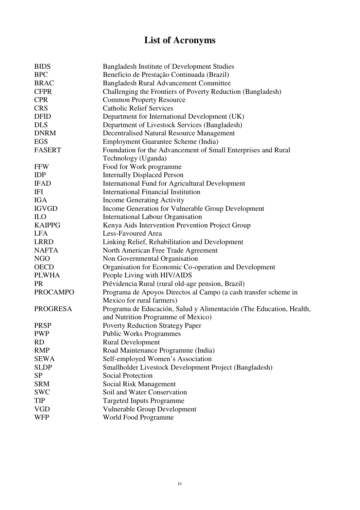# **List of Acronyms**

| <b>BIDS</b>     | <b>Bangladesh Institute of Development Studies</b>                  |
|-----------------|---------------------------------------------------------------------|
| <b>BPC</b>      | Beneficio de Prestação Continuada (Brazil)                          |
| <b>BRAC</b>     | <b>Bangladesh Rural Advancement Committee</b>                       |
| <b>CFPR</b>     | Challenging the Frontiers of Poverty Reduction (Bangladesh)         |
| <b>CPR</b>      | <b>Common Property Resource</b>                                     |
| <b>CRS</b>      | <b>Catholic Relief Services</b>                                     |
| <b>DFID</b>     | Department for International Development (UK)                       |
| <b>DLS</b>      | Department of Livestock Services (Bangladesh)                       |
| <b>DNRM</b>     | <b>Decentralised Natural Resource Management</b>                    |
| <b>EGS</b>      | <b>Employment Guarantee Scheme (India)</b>                          |
| <b>FASERT</b>   | Foundation for the Advancement of Small Enterprises and Rural       |
|                 | Technology (Uganda)                                                 |
| <b>FFW</b>      | Food for Work programme                                             |
| <b>IDP</b>      | <b>Internally Displaced Person</b>                                  |
| <b>IFAD</b>     | <b>International Fund for Agricultural Development</b>              |
| IFI             | <b>International Financial Institution</b>                          |
| <b>IGA</b>      | <b>Income Generating Activity</b>                                   |
| <b>IGVGD</b>    | Income Generation for Vulnerable Group Development                  |
| <b>ILO</b>      | <b>International Labour Organisation</b>                            |
| <b>KAIPPG</b>   | Kenya Aids Intervention Prevention Project Group                    |
| <b>LFA</b>      | Less-Favoured Area                                                  |
| <b>LRRD</b>     | Linking Relief, Rehabilitation and Development                      |
| <b>NAFTA</b>    | North American Free Trade Agreement                                 |
| <b>NGO</b>      | Non Governmental Organisation                                       |
| <b>OECD</b>     | Organisation for Economic Co-operation and Development              |
| <b>PLWHA</b>    | People Living with HIV/AIDS                                         |
| <b>PR</b>       | Prêvidencia Rural (rural old-age pension, Brazil)                   |
| <b>PROCAMPO</b> | Programa de Apoyos Directos al Campo (a cash transfer scheme in     |
|                 | Mexico for rural farmers)                                           |
| <b>PROGRESA</b> | Programa de Educación, Salud y Alimentación (The Education, Health, |
|                 | and Nutrition Programme of Mexico)                                  |
| <b>PRSP</b>     | <b>Poverty Reduction Strategy Paper</b>                             |
| <b>PWP</b>      | <b>Public Works Programmes</b>                                      |
| <b>RD</b>       | <b>Rural Development</b>                                            |
| <b>RMP</b>      | Road Maintenance Programme (India)                                  |
| <b>SEWA</b>     | Self-employed Women's Association                                   |
| <b>SLDP</b>     | Smallholder Livestock Development Project (Bangladesh)              |
| <b>SP</b>       | <b>Social Protection</b>                                            |
| <b>SRM</b>      | Social Risk Management                                              |
| <b>SWC</b>      | Soil and Water Conservation                                         |
| TIP             | <b>Targeted Inputs Programme</b>                                    |
| <b>VGD</b>      | <b>Vulnerable Group Development</b>                                 |
| <b>WFP</b>      | World Food Programme                                                |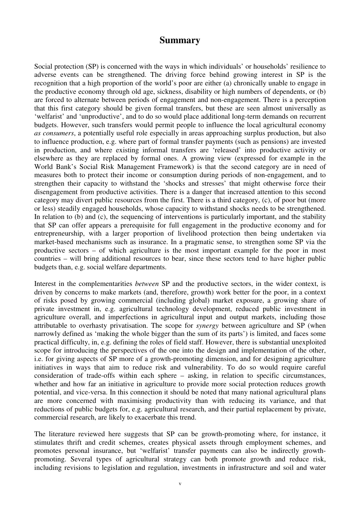### **Summary**

Social protection (SP) is concerned with the ways in which individuals' or households' resilience to adverse events can be strengthened. The driving force behind growing interest in SP is the recognition that a high proportion of the world's poor are either (a) chronically unable to engage in the productive economy through old age, sickness, disability or high numbers of dependents, or (b) are forced to alternate between periods of engagement and non-engagement. There is a perception that this first category should be given formal transfers, but these are seen almost universally as 'welfarist' and 'unproductive', and to do so would place additional long-term demands on recurrent budgets. However, such transfers would permit people to influence the local agricultural economy *as consumers*, a potentially useful role especially in areas approaching surplus production, but also to influence production, e.g. where part of formal transfer payments (such as pensions) are invested in production, and where existing informal transfers are 'released' into productive activity or elsewhere as they are replaced by formal ones. A growing view (expressed for example in the World Bank's Social Risk Management Framework) is that the second category are in need of measures both to protect their income or consumption during periods of non-engagement, and to strengthen their capacity to withstand the 'shocks and stresses' that might otherwise force their disengagement from productive activities. There is a danger that increased attention to this second category may divert public resources from the first. There is a third category, (c), of poor but (more or less) steadily engaged households, whose capacity to withstand shocks needs to be strengthened. In relation to (b) and (c), the sequencing of interventions is particularly important, and the stability that SP can offer appears a prerequisite for full engagement in the productive economy and for entrepreneurship, with a larger proportion of livelihood protection then being undertaken via market-based mechanisms such as insurance. In a pragmatic sense, to strengthen some SP via the productive sectors – of which agriculture is the most important example for the poor in most countries – will bring additional resources to bear, since these sectors tend to have higher public budgets than, e.g. social welfare departments.

Interest in the complementarities *between* SP and the productive sectors, in the wider context, is driven by concerns to make markets (and, therefore, growth) work better for the poor, in a context of risks posed by growing commercial (including global) market exposure, a growing share of private investment in, e.g. agricultural technology development, reduced public investment in agriculture overall, and imperfections in agricultural input and output markets, including those attributable to overhasty privatisation. The scope for *synergy* between agriculture and SP (when narrowly defined as 'making the whole bigger than the sum of its parts') is limited, and faces some practical difficulty, in, e.g. defining the roles of field staff. However, there is substantial unexploited scope for introducing the perspectives of the one into the design and implementation of the other, i.e. for giving aspects of SP more of a growth-promoting dimension, and for designing agriculture initiatives in ways that aim to reduce risk and vulnerability. To do so would require careful consideration of trade-offs within each sphere – asking, in relation to specific circumstances, whether and how far an initiative in agriculture to provide more social protection reduces growth potential, and vice-versa. In this connection it should be noted that many national agricultural plans are more concerned with maximising productivity than with reducing its variance, and that reductions of public budgets for, e.g. agricultural research, and their partial replacement by private, commercial research, are likely to exacerbate this trend.

The literature reviewed here suggests that SP can be growth-promoting where, for instance, it stimulates thrift and credit schemes, creates physical assets through employment schemes, and promotes personal insurance, but 'welfarist' transfer payments can also be indirectly growthpromoting. Several types of agricultural strategy can both promote growth and reduce risk, including revisions to legislation and regulation, investments in infrastructure and soil and water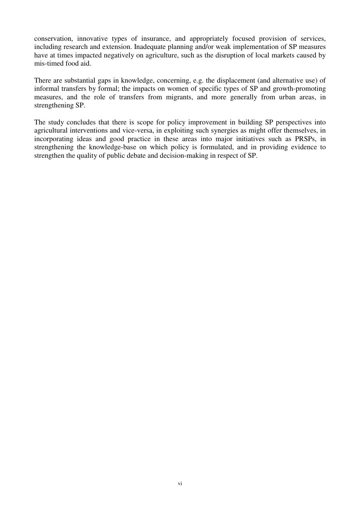conservation, innovative types of insurance, and appropriately focused provision of services, including research and extension. Inadequate planning and/or weak implementation of SP measures have at times impacted negatively on agriculture, such as the disruption of local markets caused by mis-timed food aid.

There are substantial gaps in knowledge, concerning, e.g. the displacement (and alternative use) of informal transfers by formal; the impacts on women of specific types of SP and growth-promoting measures, and the role of transfers from migrants, and more generally from urban areas, in strengthening SP.

The study concludes that there is scope for policy improvement in building SP perspectives into agricultural interventions and vice-versa, in exploiting such synergies as might offer themselves, in incorporating ideas and good practice in these areas into major initiatives such as PRSPs, in strengthening the knowledge-base on which policy is formulated, and in providing evidence to strengthen the quality of public debate and decision-making in respect of SP.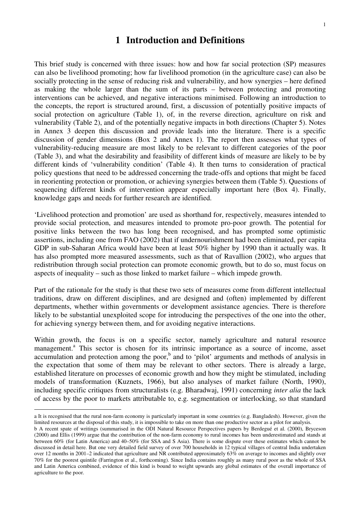### **1 Introduction and Definitions**

This brief study is concerned with three issues: how and how far social protection (SP) measures can also be livelihood promoting; how far livelihood promotion (in the agriculture case) can also be socially protecting in the sense of reducing risk and vulnerability, and how synergies – here defined as making the whole larger than the sum of its parts – between protecting and promoting interventions can be achieved, and negative interactions minimised. Following an introduction to the concepts, the report is structured around, first, a discussion of potentially positive impacts of social protection on agriculture (Table 1), of, in the reverse direction, agriculture on risk and vulnerability (Table 2), and of the potentially negative impacts in both directions (Chapter 5). Notes in Annex 3 deepen this discussion and provide leads into the literature. There is a specific discussion of gender dimensions (Box 2 and Annex 1). The report then assesses what types of vulnerability-reducing measure are most likely to be relevant to different categories of the poor (Table 3), and what the desirability and feasibility of different kinds of measure are likely to be by different kinds of 'vulnerability condition' (Table 4). It then turns to consideration of practical policy questions that need to be addressed concerning the trade-offs and options that might be faced in reorienting protection or promotion, or achieving synergies between them (Table 5). Questions of sequencing different kinds of intervention appear especially important here (Box 4). Finally, knowledge gaps and needs for further research are identified.

'Livelihood protection and promotion' are used as shorthand for, respectively, measures intended to provide social protection, and measures intended to promote pro-poor growth. The potential for positive links between the two has long been recognised, and has prompted some optimistic assertions, including one from FAO (2002) that if undernourishment had been eliminated, per capita GDP in sub-Saharan Africa would have been at least 50% higher by 1990 than it actually was. It has also prompted more measured assessments, such as that of Ravallion (2002), who argues that redistribution through social protection can promote economic growth, but to do so, must focus on aspects of inequality – such as those linked to market failure – which impede growth.

Part of the rationale for the study is that these two sets of measures come from different intellectual traditions, draw on different disciplines, and are designed and (often) implemented by different departments, whether within governments or development assistance agencies. There is therefore likely to be substantial unexploited scope for introducing the perspectives of the one into the other, for achieving synergy between them, and for avoiding negative interactions.

Within growth, the focus is on a specific sector, namely agriculture and natural resource management.<sup>a</sup> This sector is chosen for its intrinsic importance as a source of income, asset accumulation and protection among the poor, $<sup>b</sup>$  and to 'pilot' arguments and methods of analysis in</sup> the expectation that some of them may be relevant to other sectors. There is already a large, established literature on processes of economic growth and how they might be stimulated, including models of transformation (Kuznets, 1966), but also analyses of market failure (North, 1990), including specific critiques from structuralists (e.g. Bharadwaj, 1991) concerning *inter alia* the lack of access by the poor to markets attributable to, e.g. segmentation or interlocking, so that standard

a It is recognised that the rural non-farm economy is particularly important in some countries (e.g. Bangladesh). However, given the limited resources at the disposal of this study, it is impossible to take on more than one productive sector as a pilot for analysis.

b A recent spate of writings (summarised in the ODI Natural Resource Perspectives papers by Berdegué et al. (2000), Bryceson (2000) and Ellis (1999) argue that the contribution of the non-farm economy to rural incomes has been underestimated and stands at between 60% (for Latin America) and 40–50% (for SSA and S Asia). There is some dispute over these estimates which cannot be discussed in detail here. But one very detailed field survey of over 700 households in 12 typical villages of central India undertaken over 12 months in 2001–2 indicated that agriculture and NR contributed approximately 63% on average to incomes and slightly over 70% for the poorest quintile (Farrington et al., forthcoming). Since India contains roughly as many rural poor as the whole of SSA and Latin America combined, evidence of this kind is bound to weight upwards any global estimates of the overall importance of agriculture to the poor.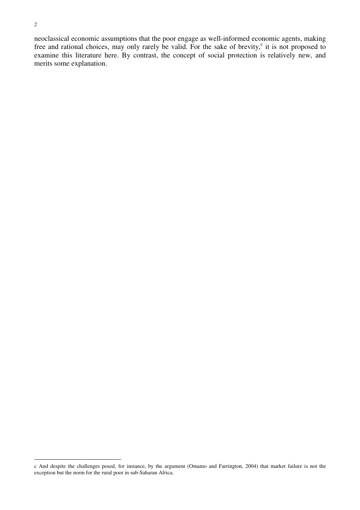neoclassical economic assumptions that the poor engage as well-informed economic agents, making free and rational choices, may only rarely be valid. For the sake of brevity,<sup>c</sup> it is not proposed to examine this literature here. By contrast, the concept of social protection is relatively new, and merits some explanation.

 $\overline{a}$ c And despite the challenges posed, for instance, by the argument (Omamo and Farrington, 2004) that market failure is not the exception but the norm for the rural poor in sub-Saharan Africa.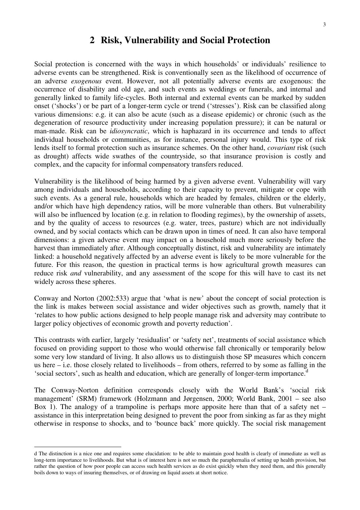## **2 Risk, Vulnerability and Social Protection**

Social protection is concerned with the ways in which households' or individuals' resilience to adverse events can be strengthened. Risk is conventionally seen as the likelihood of occurrence of an adverse *exogenous* event. However, not all potentially adverse events are exogenous: the occurrence of disability and old age, and such events as weddings or funerals, and internal and generally linked to family life-cycles. Both internal and external events can be marked by sudden onset ('shocks') or be part of a longer-term cycle or trend ('stresses'). Risk can be classified along various dimensions: e.g. it can also be acute (such as a disease epidemic) or chronic (such as the degeneration of resource productivity under increasing population pressure); it can be natural or man-made. Risk can be *idiosyncratic*, which is haphazard in its occurrence and tends to affect individual households or communities, as for instance, personal injury would. This type of risk lends itself to formal protection such as insurance schemes. On the other hand, *covariant* risk (such as drought) affects wide swathes of the countryside, so that insurance provision is costly and complex, and the capacity for informal compensatory transfers reduced.

Vulnerability is the likelihood of being harmed by a given adverse event. Vulnerability will vary among individuals and households, according to their capacity to prevent, mitigate or cope with such events. As a general rule, households which are headed by females, children or the elderly, and/or which have high dependency ratios, will be more vulnerable than others. But vulnerability will also be influenced by location (e.g. in relation to flooding regimes), by the ownership of assets, and by the quality of access to resources (e.g. water, trees, pasture) which are not individually owned, and by social contacts which can be drawn upon in times of need. It can also have temporal dimensions: a given adverse event may impact on a household much more seriously before the harvest than immediately after. Although conceptually distinct, risk and vulnerability are intimately linked: a household negatively affected by an adverse event is likely to be more vulnerable for the future. For this reason, the question in practical terms is how agricultural growth measures can reduce risk *and* vulnerability, and any assessment of the scope for this will have to cast its net widely across these spheres.

Conway and Norton (2002:533) argue that 'what is new' about the concept of social protection is the link is makes between social assistance and wider objectives such as growth, namely that it 'relates to how public actions designed to help people manage risk and adversity may contribute to larger policy objectives of economic growth and poverty reduction'.

This contrasts with earlier, largely 'residualist' or 'safety net', treatments of social assistance which focused on providing support to those who would otherwise fall chronically or temporarily below some very low standard of living. It also allows us to distinguish those SP measures which concern us here – i.e. those closely related to livelihoods – from others, referred to by some as falling in the 'social sectors', such as health and education, which are generally of longer-term importance.<sup>d</sup>

The Conway-Norton definition corresponds closely with the World Bank's 'social risk management' (SRM) framework (Holzmann and Jørgensen, 2000; World Bank, 2001 – see also Box 1). The analogy of a trampoline is perhaps more apposite here than that of a safety net – assistance in this interpretation being designed to prevent the poor from sinking as far as they might otherwise in response to shocks, and to 'bounce back' more quickly. The social risk management

d The distinction is a nice one and requires some elucidation: to be able to maintain good health is clearly of immediate as well as long-term importance to livelihoods. But what is of interest here is not so much the paraphernalia of setting up health provision, but rather the question of how poor people can access such health services as do exist quickly when they need them, and this generally boils down to ways of insuring themselves, or of drawing on liquid assets at short notice.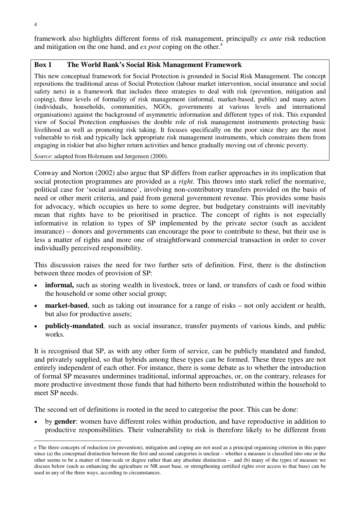framework also highlights different forms of risk management, principally *ex ante* risk reduction and mitigation on the one hand, and  $ex$  *post* coping on the other. $^e$ 

### **Box 1 The World Bank's Social Risk Management Framework**

This new conceptual framework for Social Protection is grounded in Social Risk Management. The concept repositions the traditional areas of Social Protection (labour market intervention, social insurance and social safety nets) in a framework that includes three strategies to deal with risk (prevention, mitigation and coping), three levels of formality of risk management (informal, market-based, public) and many actors (individuals, households, communities, NGOs, governments at various levels and international organisations) against the background of asymmetric information and different types of risk. This expanded view of Social Protection emphasises the double role of risk management instruments protecting basic livelihood as well as promoting risk taking. It focuses specifically on the poor since they are the most vulnerable to risk and typically lack appropriate risk management instruments, which constrains them from engaging in riskier but also higher return activities and hence gradually moving out of chronic poverty.

*Source*: adapted from Holzmann and Jørgensen (2000).

Conway and Norton (2002) also argue that SP differs from earlier approaches in its implication that social protection programmes are provided as a *right*. This throws into stark relief the normative, political case for 'social assistance', involving non-contributory transfers provided on the basis of need or other merit criteria, and paid from general government revenue. This provides some basis for advocacy, which occupies us here to some degree, but budgetary constraints will inevitably mean that rights have to be prioritised in practice. The concept of rights is not especially informative in relation to types of SP implemented by the private sector (such as accident insurance) – donors and governments can encourage the poor to contribute to these, but their use is less a matter of rights and more one of straightforward commercial transaction in order to cover individually perceived responsibility.

This discussion raises the need for two further sets of definition. First, there is the distinction between three modes of provision of SP:

- **informal**, such as storing wealth in livestock, trees or land, or transfers of cash or food within the household or some other social group;
- **market-based**, such as taking out insurance for a range of risks not only accident or health, but also for productive assets;
- **publicly-mandated***,* such as social insurance, transfer payments of various kinds, and public works.

It is recognised that SP, as with any other form of service, can be publicly mandated and funded, and privately supplied, so that hybrids among these types can be formed. These three types are not entirely independent of each other. For instance, there is some debate as to whether the introduction of formal SP measures undermines traditional, informal approaches, or, on the contrary, releases for more productive investment those funds that had hitherto been redistributed within the household to meet SP needs.

The second set of definitions is rooted in the need to categorise the poor. This can be done:

• by **gender**: women have different roles within production, and have reproductive in addition to productive responsibilities. Their vulnerability to risk is therefore likely to be different from

e The three concepts of reduction (or prevention), mitigation and coping are not used as a principal organising criterion in this paper since (a) the conceptual distinction between the first and second categories is unclear – whether a measure is classified into one or the other seems to be a matter of time-scale or degree rather than any absolute distinction – and (b) many of the types of measure we discuss below (such as enhancing the agriculture or NR asset base, or strengthening certified rights over access to that base) can be used in any of the three ways, according to circumstances.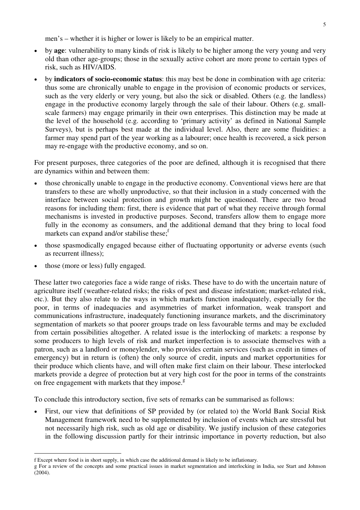men's – whether it is higher or lower is likely to be an empirical matter.

- by **age**: vulnerability to many kinds of risk is likely to be higher among the very young and very old than other age-groups; those in the sexually active cohort are more prone to certain types of risk, such as HIV/AIDS.
- by **indicators of socio-economic status**: this may best be done in combination with age criteria: thus some are chronically unable to engage in the provision of economic products or services, such as the very elderly or very young, but also the sick or disabled. Others (e.g. the landless) engage in the productive economy largely through the sale of their labour. Others (e.g. smallscale farmers) may engage primarily in their own enterprises. This distinction may be made at the level of the household (e.g. according to 'primary activity' as defined in National Sample Surveys), but is perhaps best made at the individual level. Also, there are some fluidities: a farmer may spend part of the year working as a labourer; once health is recovered, a sick person may re-engage with the productive economy, and so on.

For present purposes, three categories of the poor are defined, although it is recognised that there are dynamics within and between them:

- those chronically unable to engage in the productive economy. Conventional views here are that transfers to these are wholly unproductive, so that their inclusion in a study concerned with the interface between social protection and growth might be questioned. There are two broad reasons for including them: first, there is evidence that part of what they receive through formal mechanisms is invested in productive purposes. Second, transfers allow them to engage more fully in the economy as consumers, and the additional demand that they bring to local food markets can expand and/or stabilise these; $\frac{1}{1}$
- those spasmodically engaged because either of fluctuating opportunity or adverse events (such as recurrent illness);
- those (more or less) fully engaged.

 $\overline{a}$ 

These latter two categories face a wide range of risks. These have to do with the uncertain nature of agriculture itself (weather-related risks; the risks of pest and disease infestation; market-related risk, etc.). But they also relate to the ways in which markets function inadequately, especially for the poor, in terms of inadequacies and asymmetries of market information, weak transport and communications infrastructure, inadequately functioning insurance markets, and the discriminatory segmentation of markets so that poorer groups trade on less favourable terms and may be excluded from certain possibilities altogether. A related issue is the interlocking of markets: a response by some producers to high levels of risk and market imperfection is to associate themselves with a patron, such as a landlord or moneylender, who provides certain services (such as credit in times of emergency) but in return is (often) the only source of credit, inputs and market opportunities for their produce which clients have, and will often make first claim on their labour. These interlocked markets provide a degree of protection but at very high cost for the poor in terms of the constraints on free engagement with markets that they impose. $\mathbf{g}$ 

To conclude this introductory section, five sets of remarks can be summarised as follows:

• First, our view that definitions of SP provided by (or related to) the World Bank Social Risk Management framework need to be supplemented by inclusion of events which are stressful but not necessarily high risk, such as old age or disability. We justify inclusion of these categories in the following discussion partly for their intrinsic importance in poverty reduction, but also

f Except where food is in short supply, in which case the additional demand is likely to be inflationary.

g For a review of the concepts and some practical issues in market segmentation and interlocking in India, see Start and Johnson (2004).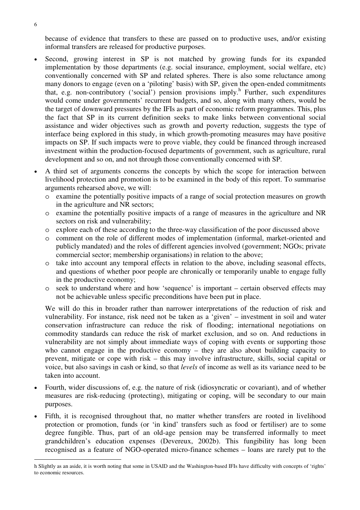because of evidence that transfers to these are passed on to productive uses, and/or existing informal transfers are released for productive purposes.

- Second, growing interest in SP is not matched by growing funds for its expanded implementation by those departments (e.g. social insurance, employment, social welfare, etc) conventionally concerned with SP and related spheres. There is also some reluctance among many donors to engage (even on a 'piloting' basis) with SP, given the open-ended commitments that, e.g. non-contributory ('social') pension provisions imply.<sup>h</sup> Further, such expenditures would come under governments' recurrent budgets, and so, along with many others, would be the target of downward pressures by the IFIs as part of economic reform programmes. This, plus the fact that SP in its current definition seeks to make links between conventional social assistance and wider objectives such as growth and poverty reduction, suggests the type of interface being explored in this study, in which growth-promoting measures may have positive impacts on SP. If such impacts were to prove viable, they could be financed through increased investment within the production-focused departments of government, such as agriculture, rural development and so on, and not through those conventionally concerned with SP.
- A third set of arguments concerns the concepts by which the scope for interaction between livelihood protection and promotion is to be examined in the body of this report. To summarise arguments rehearsed above, we will:
	- o examine the potentially positive impacts of a range of social protection measures on growth in the agriculture and NR sectors;
	- o examine the potentially positive impacts of a range of measures in the agriculture and NR sectors on risk and vulnerability;
	- o explore each of these according to the three-way classification of the poor discussed above
	- o comment on the role of different modes of implementation (informal, market-oriented and publicly mandated) and the roles of different agencies involved (government; NGOs; private commercial sector; membership organisations) in relation to the above;
	- o take into account any temporal effects in relation to the above, including seasonal effects, and questions of whether poor people are chronically or temporarily unable to engage fully in the productive economy;
	- o seek to understand where and how 'sequence' is important certain observed effects may not be achievable unless specific preconditions have been put in place.

We will do this in broader rather than narrower interpretations of the reduction of risk and vulnerability. For instance, risk need not be taken as a 'given' – investment in soil and water conservation infrastructure can reduce the risk of flooding; international negotiations on commodity standards can reduce the risk of market exclusion, and so on. And reductions in vulnerability are not simply about immediate ways of coping with events or supporting those who cannot engage in the productive economy – they are also about building capacity to prevent, mitigate or cope with risk – this may involve infrastructure, skills, social capital or voice, but also savings in cash or kind, so that *levels* of income as well as its variance need to be taken into account.

- Fourth, wider discussions of, e.g. the nature of risk (idiosyncratic or covariant), and of whether measures are risk-reducing (protecting), mitigating or coping, will be secondary to our main purposes.
- Fifth, it is recognised throughout that, no matter whether transfers are rooted in livelihood protection or promotion, funds (or 'in kind' transfers such as food or fertiliser) are to some degree fungible. Thus, part of an old-age pension may be transferred informally to meet grandchildren's education expenses (Devereux, 2002b). This fungibility has long been recognised as a feature of NGO-operated micro-finance schemes – loans are rarely put to the

h Slightly as an aside, it is worth noting that some in USAID and the Washington-based IFIs have difficulty with concepts of 'rights' to economic resources.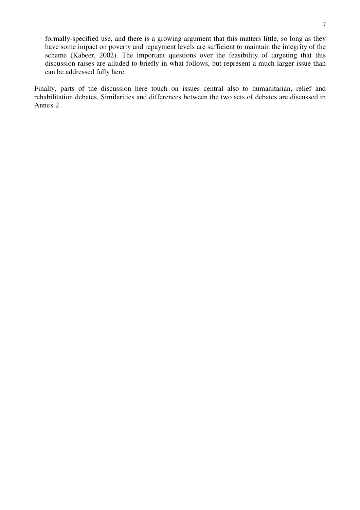formally-specified use, and there is a growing argument that this matters little, so long as they have some impact on poverty and repayment levels are sufficient to maintain the integrity of the scheme (Kabeer, 2002). The important questions over the feasibility of targeting that this discussion raises are alluded to briefly in what follows, but represent a much larger issue than can be addressed fully here.

Finally, parts of the discussion here touch on issues central also to humanitarian, relief and rehabilitation debates. Similarities and differences between the two sets of debates are discussed in Annex 2.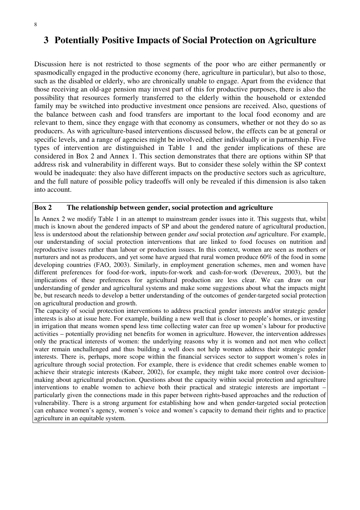#### 8

# **3 Potentially Positive Impacts of Social Protection on Agriculture**

Discussion here is not restricted to those segments of the poor who are either permanently or spasmodically engaged in the productive economy (here, agriculture in particular), but also to those, such as the disabled or elderly, who are chronically unable to engage. Apart from the evidence that those receiving an old-age pension may invest part of this for productive purposes, there is also the possibility that resources formerly transferred to the elderly within the household or extended family may be switched into productive investment once pensions are received. Also, questions of the balance between cash and food transfers are important to the local food economy and are relevant to them, since they engage with that economy as consumers, whether or not they do so as producers. As with agriculture-based interventions discussed below, the effects can be at general or specific levels, and a range of agencies might be involved, either individually or in partnership. Five types of intervention are distinguished in Table 1 and the gender implications of these are considered in Box 2 and Annex 1. This section demonstrates that there are options within SP that address risk and vulnerability in different ways. But to consider these solely within the SP context would be inadequate: they also have different impacts on the productive sectors such as agriculture, and the full nature of possible policy tradeoffs will only be revealed if this dimension is also taken into account.

### **Box 2 The relationship between gender, social protection and agriculture**

In Annex 2 we modify Table 1 in an attempt to mainstream gender issues into it. This suggests that, whilst much is known about the gendered impacts of SP and about the gendered nature of agricultural production, less is understood about the relationship between gender *and* social protection *and* agriculture. For example, our understanding of social protection interventions that are linked to food focuses on nutrition and reproductive issues rather than labour or production issues. In this context, women are seen as mothers or nurturers and not as producers, and yet some have argued that rural women produce 60% of the food in some developing countries (FAO, 2003). Similarly, in employment generation schemes, men and women have different preferences for food-for-work, inputs-for-work and cash-for-work (Devereux, 2003), but the implications of these preferences for agricultural production are less clear. We can draw on our understanding of gender and agricultural systems and make some suggestions about what the impacts might be, but research needs to develop a better understanding of the outcomes of gender-targeted social protection on agricultural production and growth.

The capacity of social protection interventions to address practical gender interests and/or strategic gender interests is also at issue here. For example, building a new well that is closer to people's homes, or investing in irrigation that means women spend less time collecting water can free up women's labour for productive activities – potentially providing net benefits for women in agriculture. However, the intervention addresses only the practical interests of women: the underlying reasons why it is women and not men who collect water remain unchallenged and thus building a well does not help women address their strategic gender interests. There is, perhaps, more scope within the financial services sector to support women's roles in agriculture through social protection. For example, there is evidence that credit schemes enable women to achieve their strategic interests (Kabeer, 2002), for example, they might take more control over decisionmaking about agricultural production. Questions about the capacity within social protection and agriculture interventions to enable women to achieve both their practical and strategic interests are important – particularly given the connections made in this paper between rights-based approaches and the reduction of vulnerability. There is a strong argument for establishing how and when gender-targeted social protection can enhance women's agency, women's voice and women's capacity to demand their rights and to practice agriculture in an equitable system.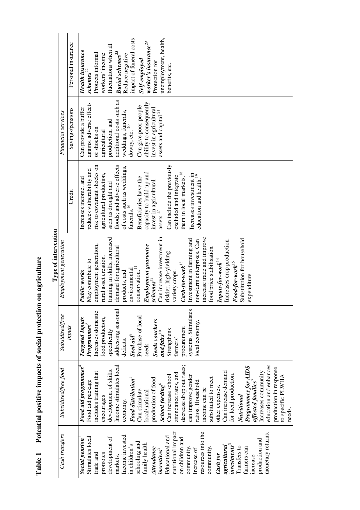Table 1 Potential positive impacts of social protection on agriculture **Table 1 Potential positive impacts of social protection on agriculture** 

|                                                    |                                  |                        | Type of intervention                         |                                      |                                   |                                     |
|----------------------------------------------------|----------------------------------|------------------------|----------------------------------------------|--------------------------------------|-----------------------------------|-------------------------------------|
| Cash transfers                                     | Subsidised/free food             | <b>Subsidised/free</b> | Employment generation                        |                                      | Financial services                |                                     |
|                                                    |                                  | inputs                 |                                              | Credit                               | Savings/pensions                  | Personal insurance                  |
| <b>Social pension</b>                              | Food aid programmes <sup>4</sup> | <b>Targeted Inputs</b> | Public works                                 | Increases income, and                | Can provide a buffer              | Health insurance                    |
| Stimulates local                                   | Food aid package                 | Programmes             | May contribute to                            | reduces vulnerability and            | against adverse effects           | schemes <sup>22</sup>               |
| trade and                                          | includes training that           | Increases domestic     | employment generation,                       | risk to covariant shocks on          | of shocks on                      | Protects informal                   |
| promotes                                           | encourages                       | food production,       | rural asset creation,                        | agricultural production,             | agricultural                      | workers' income                     |
| development of                                     | development of skills.           | specifically           | training in skills, increased                | such as drought and                  | production; and                   | fluctuations when ill               |
| markets.                                           | Income stimulates local          | addressing seasonal    | demand for agricultural                      | floods; and adverse effects          | additional costs such as          | <b>Burial</b> schemes <sup>23</sup> |
| Income invested                                    | economy.                         | deficits.              | products, and                                | of costs such as weddings,           | weddings, funerals,               | Reduce negative                     |
| in children's                                      | Food distribution <sup>5</sup>   | Seed aid               | environmental                                | funerals. $^{16}$                    | dowry, etc. $^{20}$               | impact of funeral costs             |
| schooling and                                      | Can stimulate                    | Purchase of local      | conservation. <sup>11</sup>                  | Beneficiaries have the               | Can give poor people              | Self-employed                       |
| family health                                      | local/national                   | seeds.                 | Employment guarantee                         | capacity to build up and             | ability to consequently           | worker's insurance <sup>24</sup>    |
| Attendance                                         | production of food               | Seeds vouchers         | $\boldsymbol{s}$ cheme $\boldsymbol{s}^{12}$ | invest in agricultural               | invest in agricultural            | Protection for                      |
| $\boldsymbol{me}\boldsymbol{e}$ mires <sup>2</sup> | <b>School feeding</b>            | and fairs $^{10}$      | Can increase investment in                   | assets. $^{17}$                      | assets and capital. <sup>21</sup> | unemployment, health,               |
| Educational and                                    | Can increase school              | Strengthens            | riskier, high-yielding                       | Can include the previously           |                                   | benefits, etc.                      |
| nutritional impact                                 | attendance rates, and            | farmers'               | variety crops                                | excluded and integrate               |                                   |                                     |
| on children and                                    | decrease drop out rates;         | procurement            | $Cash$ -for-work $^{13}$                     | them in local markets. <sup>18</sup> |                                   |                                     |
| community.                                         | can improve gender               | systems. Stimulates    | Investment in farming and                    | Increases investment in              |                                   |                                     |
| Increase of                                        | ratios. Household                | local economy.         | non-farm enterprises. Can                    | education and health. <sup>19</sup>  |                                   |                                     |
| resources into the                                 | income can be                    |                        | increase trade and improve                   |                                      |                                   |                                     |
| community.                                         | substituted to meet              |                        | food price stabilisation.                    |                                      |                                   |                                     |
| Cash for                                           | other expenses.                  |                        | $InputS$ -for-work <sup>14</sup>             |                                      |                                   |                                     |
| agricultural                                       | Can increase demand              |                        | Increases crop production.                   |                                      |                                   |                                     |
| $inves$ tments $3$                                 | for local production.            |                        | $Food-formork$ <sup>15</sup>                 |                                      |                                   |                                     |
| Transfers to                                       | Nutritional                      |                        | Substitution for household                   |                                      |                                   |                                     |
| farmers can                                        | Programmes for AIDS              |                        | expenditure.                                 |                                      |                                   |                                     |
| increase                                           | affected families $^{\prime}$    |                        |                                              |                                      |                                   |                                     |
| production and                                     | Increases community              |                        |                                              |                                      |                                   |                                     |
| monetary returns.                                  | education and enhances           |                        |                                              |                                      |                                   |                                     |
|                                                    | production in response           |                        |                                              |                                      |                                   |                                     |
|                                                    | to specific PLWHA                |                        |                                              |                                      |                                   |                                     |
|                                                    | needs.                           |                        |                                              |                                      |                                   |                                     |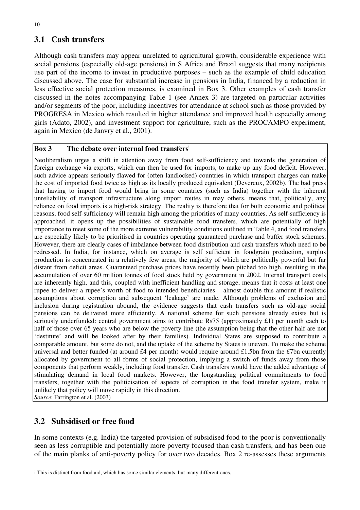## **3.1 Cash transfers**

Although cash transfers may appear unrelated to agricultural growth, considerable experience with social pensions (especially old-age pensions) in S Africa and Brazil suggests that many recipients use part of the income to invest in productive purposes – such as the example of child education discussed above. The case for substantial increase in pensions in India, financed by a reduction in less effective social protection measures, is examined in Box 3. Other examples of cash transfer discussed in the notes accompanying Table 1 (see Annex 3) are targeted on particular activities and/or segments of the poor, including incentives for attendance at school such as those provided by PROGRESA in Mexico which resulted in higher attendance and improved health especially among girls (Adato, 2002), and investment support for agriculture, such as the PROCAMPO experiment, again in Mexico (de Janvry et al., 2001).

### **Box 3 The debate over internal food transfers**<sup>i</sup>

Neoliberalism urges a shift in attention away from food self-sufficiency and towards the generation of foreign exchange via exports, which can then be used for imports, to make up any food deficit. However, such advice appears seriously flawed for (often landlocked) countries in which transport charges can make the cost of imported food twice as high as its locally produced equivalent (Devereux, 2002b). The bad press that having to import food would bring in some countries (such as India) together with the inherent unreliability of transport infrastructure along import routes in may others, means that, politically, any reliance on food imports is a high-risk strategy. The reality is therefore that for both economic and political reasons, food self-sufficiency will remain high among the priorities of many countries. As self-sufficiency is approached, it opens up the possibilities of sustainable food transfers, which are potentially of high importance to meet some of the more extreme vulnerability conditions outlined in Table 4, and food transfers are especially likely to be prioritised in countries operating guaranteed purchase and buffer stock schemes. However, there are clearly cases of imbalance between food distribution and cash transfers which need to be redressed. In India, for instance, which on average is self sufficient in foodgrain production, surplus production is concentrated in a relatively few areas, the majority of which are politically powerful but far distant from deficit areas. Guaranteed purchase prices have recently been pitched too high, resulting in the accumulation of over 60 million tonnes of food stock held by government in 2002. Internal transport costs are inherently high, and this, coupled with inefficient handling and storage, means that it costs at least one rupee to deliver a rupee's worth of food to intended beneficiaries – almost double this amount if realistic assumptions about corruption and subsequent 'leakage' are made. Although problems of exclusion and inclusion during registration abound, the evidence suggests that cash transfers such as old-age social pensions can be delivered more efficiently. A national scheme for such pensions already exists but is seriously underfunded: central government aims to contribute Rs75 (approximately £1) per month each to half of those over 65 years who are below the poverty line (the assumption being that the other half are not 'destitute' and will be looked after by their families). Individual States are supposed to contribute a comparable amount, but some do not, and the uptake of the scheme by States is uneven. To make the scheme universal and better funded (at around £4 per month) would require around £1.5bn from the £7bn currently allocated by government to all forms of social protection, implying a switch of funds away from those components that perform weakly, including food transfer. Cash transfers would have the added advantage of stimulating demand in local food markets. However, the longstanding political commitments to food transfers, together with the politicisation of aspects of corruption in the food transfer system, make it unlikely that policy will move rapidly in this direction. *Source*: Farrington et al. (2003)

### **3.2 Subsidised or free food**

 $\overline{a}$ 

In some contexts (e.g. India) the targeted provision of subsidised food to the poor is conventionally seen as less corruptible and potentially more poverty focused than cash transfers, and has been one of the main planks of anti-poverty policy for over two decades. Box 2 re-assesses these arguments

i This is distinct from food aid, which has some similar elements, but many different ones.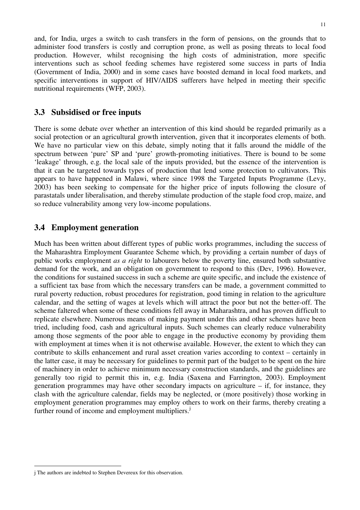and, for India, urges a switch to cash transfers in the form of pensions, on the grounds that to administer food transfers is costly and corruption prone, as well as posing threats to local food production. However, whilst recognising the high costs of administration, more specific interventions such as school feeding schemes have registered some success in parts of India (Government of India, 2000) and in some cases have boosted demand in local food markets, and specific interventions in support of HIV/AIDS sufferers have helped in meeting their specific nutritional requirements (WFP, 2003).

### **3.3 Subsidised or free inputs**

There is some debate over whether an intervention of this kind should be regarded primarily as a social protection or an agricultural growth intervention, given that it incorporates elements of both. We have no particular view on this debate, simply noting that it falls around the middle of the spectrum between 'pure' SP and 'pure' growth-promoting initiatives. There is bound to be some 'leakage' through, e.g. the local sale of the inputs provided, but the essence of the intervention is that it can be targeted towards types of production that lend some protection to cultivators. This appears to have happened in Malawi, where since 1998 the Targeted Inputs Programme (Levy, 2003) has been seeking to compensate for the higher price of inputs following the closure of parastatals under liberalisation, and thereby stimulate production of the staple food crop, maize, and so reduce vulnerability among very low-income populations.

### **3.4 Employment generation**

Much has been written about different types of public works programmes, including the success of the Maharashtra Employment Guarantee Scheme which, by providing a certain number of days of public works employment *as a right* to labourers below the poverty line, ensured both substantive demand for the work, and an obligation on government to respond to this (Dev, 1996). However, the conditions for sustained success in such a scheme are quite specific, and include the existence of a sufficient tax base from which the necessary transfers can be made, a government committed to rural poverty reduction, robust procedures for registration, good timing in relation to the agriculture calendar, and the setting of wages at levels which will attract the poor but not the better-off. The scheme faltered when some of these conditions fell away in Maharashtra, and has proven difficult to replicate elsewhere. Numerous means of making payment under this and other schemes have been tried, including food, cash and agricultural inputs. Such schemes can clearly reduce vulnerability among those segments of the poor able to engage in the productive economy by providing them with employment at times when it is not otherwise available. However, the extent to which they can contribute to skills enhancement and rural asset creation varies according to context – certainly in the latter case, it may be necessary for guidelines to permit part of the budget to be spent on the hire of machinery in order to achieve minimum necessary construction standards, and the guidelines are generally too rigid to permit this in, e.g. India (Saxena and Farrington, 2003). Employment generation programmes may have other secondary impacts on agriculture  $-$  if, for instance, they clash with the agriculture calendar, fields may be neglected, or (more positively) those working in employment generation programmes may employ others to work on their farms, thereby creating a further round of income and employment multipliers.<sup>j</sup>

<sup>11</sup>

 $\overline{a}$ j The authors are indebted to Stephen Devereux for this observation.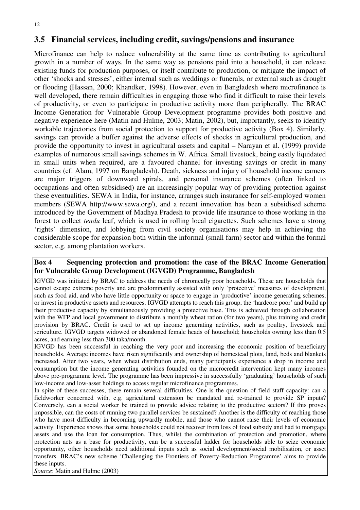### **3.5 Financial services, including credit, savings/pensions and insurance**

Microfinance can help to reduce vulnerability at the same time as contributing to agricultural growth in a number of ways. In the same way as pensions paid into a household, it can release existing funds for production purposes, or itself contribute to production, or mitigate the impact of other 'shocks and stresses', either internal such as weddings or funerals, or external such as drought or flooding (Hassan, 2000; Khandker, 1998). However, even in Bangladesh where microfinance is well developed, there remain difficulties in engaging those who find it difficult to raise their levels of productivity, or even to participate in productive activity more than peripherally. The BRAC Income Generation for Vulnerable Group Development programme provides both positive and negative experience here (Matin and Hulme, 2003; Matin, 2002), but, importantly, seeks to identify workable trajectories from social protection to support for productive activity (Box 4). Similarly, savings can provide a buffer against the adverse effects of shocks in agricultural production, and provide the opportunity to invest in agricultural assets and capital – Narayan et al. (1999) provide examples of numerous small savings schemes in W. Africa. Small livestock, being easily liquidated in small units when required, are a favoured channel for investing savings or credit in many countries (cf. Alam, 1997 on Bangladesh). Death, sickness and injury of household income earners are major triggers of downward spirals, and personal insurance schemes (often linked to occupations and often subsidised) are an increasingly popular way of providing protection against these eventualities. SEWA in India, for instance, arranges such insurance for self-employed women members (SEWA http://www.sewa.org/), and a recent innovation has been a subsidised scheme introduced by the Government of Madhya Pradesh to provide life insurance to those working in the forest to collect *tendu* leaf, which is used in rolling local cigarettes. Such schemes have a strong 'rights' dimension, and lobbying from civil society organisations may help in achieving the considerable scope for expansion both within the informal (small farm) sector and within the formal sector, e.g. among plantation workers.

### **Box 4 Sequencing protection and promotion: the case of the BRAC Income Generation for Vulnerable Group Development (IGVGD) Programme, Bangladesh**

IGVGD was initiated by BRAC to address the needs of chronically poor households. These are households that cannot escape extreme poverty and are predominantly assisted with only 'protective' measures of development, such as food aid, and who have little opportunity or space to engage in 'productive' income generating schemes, or invest in productive assets and resources. IGVGD attempts to reach this group, the 'hardcore poor' and build up their productive capacity by simultaneously providing a protective base. This is achieved through collaboration with the WFP and local government to distribute a monthly wheat ration (for two years), plus training and credit provision by BRAC. Credit is used to set up income generating activities, such as poultry, livestock and sericulture. IGVGD targets widowed or abandoned female heads of household; households owning less than 0.5 acres, and earning less than 300 taka/month.

IGVGD has been successful in reaching the very poor and increasing the economic position of beneficiary households. Average incomes have risen significantly and ownership of homestead plots, land, beds and blankets increased. After two years, when wheat distribution ends, many participants experience a drop in income and consumption but the income generating activities founded on the microcredit intervention kept many incomes above pre-programme level. The programme has been impressive in successfully 'graduating' households of such low-income and low-asset holdings to access regular microfinance programmes.

In spite of these successes, there remain several difficulties. One is the question of field staff capacity: can a fieldworker concerned with, e.g. agricultural extension be mandated and re-trained to provide SP inputs? Conversely, can a social worker be trained to provide advice relating to the productive sectors? If this proves impossible, can the costs of running two parallel services be sustained? Another is the difficulty of reaching those who have most difficulty in becoming upwardly mobile, and those who cannot raise their levels of economic activity. Experience shows that some households could not recover from loss of food subsidy and had to mortgage assets and use the loan for consumption. Thus, whilst the combination of protection and promotion, where protection acts as a base for productivity, can be a successful ladder for households able to seize economic opportunity, other households need additional inputs such as social development/social mobilisation, or asset transfers. BRAC's new scheme 'Challenging the Frontiers of Poverty-Reduction Programme' aims to provide these inputs.

*Source*: Matin and Hulme (2003)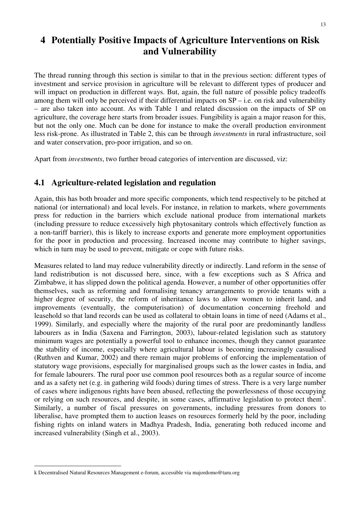# **4 Potentially Positive Impacts of Agriculture Interventions on Risk and Vulnerability**

The thread running through this section is similar to that in the previous section: different types of investment and service provision in agriculture will be relevant to different types of producer and will impact on production in different ways. But, again, the full nature of possible policy tradeoffs among them will only be perceived if their differential impacts on SP – i.e. on risk and vulnerability – are also taken into account. As with Table 1 and related discussion on the impacts of SP on agriculture, the coverage here starts from broader issues. Fungibility is again a major reason for this, but not the only one. Much can be done for instance to make the overall production environment less risk-prone. As illustrated in Table 2, this can be through *investments* in rural infrastructure, soil and water conservation, pro-poor irrigation, and so on.

Apart from *investments*, two further broad categories of intervention are discussed, viz:

### **4.1 Agriculture-related legislation and regulation**

Again, this has both broader and more specific components, which tend respectively to be pitched at national (or international) and local levels. For instance, in relation to markets, where governments press for reduction in the barriers which exclude national produce from international markets (including pressure to reduce excessively high phytosanitary controls which effectively function as a non-tariff barrier), this is likely to increase exports and generate more employment opportunities for the poor in production and processing. Increased income may contribute to higher savings, which in turn may be used to prevent, mitigate or cope with future risks.

Measures related to land may reduce vulnerability directly or indirectly. Land reform in the sense of land redistribution is not discussed here, since, with a few exceptions such as S Africa and Zimbabwe, it has slipped down the political agenda. However, a number of other opportunities offer themselves, such as reforming and formalising tenancy arrangements to provide tenants with a higher degree of security, the reform of inheritance laws to allow women to inherit land, and improvements (eventually, the computerisation) of documentation concerning freehold and leasehold so that land records can be used as collateral to obtain loans in time of need (Adams et al., 1999). Similarly, and especially where the majority of the rural poor are predominantly landless labourers as in India (Saxena and Farrington, 2003), labour-related legislation such as statutory minimum wages are potentially a powerful tool to enhance incomes, though they cannot guarantee the stability of income, especially where agricultural labour is becoming increasingly casualised (Ruthven and Kumar, 2002) and there remain major problems of enforcing the implementation of statutory wage provisions, especially for marginalised groups such as the lower castes in India, and for female labourers. The rural poor use common pool resources both as a regular source of income and as a safety net (e.g. in gathering wild foods) during times of stress. There is a very large number of cases where indigenous rights have been abused, reflecting the powerlessness of those occupying or relying on such resources, and despite, in some cases, affirmative legislation to protect them<sup>k</sup>. Similarly, a number of fiscal pressures on governments, including pressures from donors to liberalise, have prompted them to auction leases on resources formerly held by the poor, including fishing rights on inland waters in Madhya Pradesh, India, generating both reduced income and increased vulnerability (Singh et al., 2003).

k Decentralised Natural Resources Management e-forum, accessible via majordomo@taru.org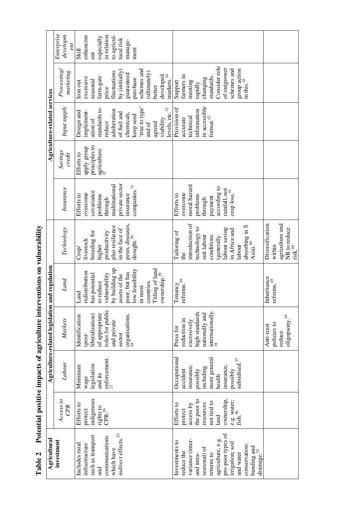| <b>The Secret Property Control</b> |
|------------------------------------|
| ;                                  |
| Ì<br>j<br>)                        |
| くししく<br>ł                          |
| í<br>.<br>1                        |
| וי יוני<br>ה<br>ו<br>E<br>l        |

| Agricultural                                                                                                                                                                                                                       |                                                                                                                                           |                                                                                                                                         | Agriculture-related legislation and regulation                                                                               |                                                                                                                                                                                                                  |                                                                                                                                                                                       |                                                                                                                                         |                                                                       | Agriculture-related services                                                                                                                                                                              |                                                                                                                                                                                                       |                                                                                                       |
|------------------------------------------------------------------------------------------------------------------------------------------------------------------------------------------------------------------------------------|-------------------------------------------------------------------------------------------------------------------------------------------|-----------------------------------------------------------------------------------------------------------------------------------------|------------------------------------------------------------------------------------------------------------------------------|------------------------------------------------------------------------------------------------------------------------------------------------------------------------------------------------------------------|---------------------------------------------------------------------------------------------------------------------------------------------------------------------------------------|-----------------------------------------------------------------------------------------------------------------------------------------|-----------------------------------------------------------------------|-----------------------------------------------------------------------------------------------------------------------------------------------------------------------------------------------------------|-------------------------------------------------------------------------------------------------------------------------------------------------------------------------------------------------------|-------------------------------------------------------------------------------------------------------|
| investment                                                                                                                                                                                                                         | Access to<br><b>CPR</b>                                                                                                                   | Labour                                                                                                                                  | Markets                                                                                                                      | Land                                                                                                                                                                                                             | <b>Technology</b>                                                                                                                                                                     | Insurance                                                                                                                               | Savings<br>credit                                                     | Input supply                                                                                                                                                                                              | Processing/<br>marketing                                                                                                                                                                              | Enterprise<br>developm                                                                                |
| indirect effects. <sup>25</sup><br>such as transport<br>communications<br>infrastructure<br>Includes rural<br>which have<br>and                                                                                                    | indigenous<br>Efforts to<br>rights to<br>CPR. $^{26}$<br>protect                                                                          | enforcement.<br>$\frac{27}{27}$<br>legislation<br>Minimum<br>and its<br>wage                                                            | roles for public<br>of appropriate<br>Identification<br>liberalisation)<br>organisations.<br>and private<br>sector<br>(post- | y building up<br>Titling of land<br>ow feasibility<br>edistribution<br>poor, but has<br>rulnerability<br>ownership. <sup>29</sup><br>assets of the<br>nas potential<br>o reduce<br>countries.<br>in most<br>Land | pests, diseases,<br>plus resilience<br>in the face of<br>breeding for<br>productivity<br>drought. <sup>30</sup><br>livestock<br>higher<br>Crop                                        | private sector<br>multinational<br>companies. <sup>31</sup><br>covariance<br>overcome<br>insurance<br>Efforts to<br>problems<br>through | principles to<br>dnois <i>k</i> ldde<br>$a$ griculture.<br>Efforts to | 'true to type'<br>levels, etc. <sup>33</sup><br>standards to<br>adulteration<br>implement-<br>Design and<br>of fuel and<br>chemicals,<br>keep seed<br>viability<br>ation of<br>reduce<br>agreed<br>and of | schemes and<br>by $(i$ nitially)<br>fluctuations<br>(ultimately)<br>guaranteed<br>developed<br>markes. <sup>34</sup><br>farm-gate<br>excessive<br>purchase<br>seasonal<br>Iron out<br>better<br>price | to agricul-<br>enhancem<br>in relation<br>especially<br>tural risk<br>manage-<br>ment<br>Skill<br>ent |
| pro-poor types of<br>agriculture, e.g.<br>variance (inter-<br>Investments to<br>irrigation; soil<br>conservation;<br>bunding and<br>drainage. <sup>35</sup><br>seasonal) of<br>reduce the<br>and water<br>returns to<br>and intra- | ownership,<br>the poor to<br>e.g. water;<br>fish. <sup>36</sup><br>not tied to<br>resources<br>Efforts to<br>access by<br>protect<br>land | Occupational<br>more general<br>subsidised. $37$<br>insurance,<br>insurance,<br>including<br>possibly<br>possibly<br>accident<br>health | internationally.<br>high standards<br>nationally and<br>reduction in<br>excessively<br>Press for                             | Tenancy<br>reforms. <sup>39</sup>                                                                                                                                                                                | introduction of<br>absorbing in S<br>Asia). <sup>40</sup><br>technology to<br>labour saving<br>in Africa and<br>Tailoring of<br>suit labour<br>conditions<br>generally<br>labour<br>Ê | moral hazard<br>according to<br>rainfall, not<br>crop $loss.41$<br>overcome<br>Efforts to<br>problems<br>payment<br>through             |                                                                       | in accessible<br>Provision of<br>information<br>format. $^\mathrm{42}$<br>technical<br>accurate                                                                                                           | Consider role<br>of outgrower<br>schemes and<br>group action<br>in this. <sup>43</sup><br>farmers in<br>standards.<br>changing<br>Support<br>meeting<br>rapidly                                       |                                                                                                       |
|                                                                                                                                                                                                                                    |                                                                                                                                           |                                                                                                                                         | oligopsony. <sup>44</sup><br>policies to<br>Anti-trust<br>reduce                                                             | nheritance<br>$\rm{reforms.}^{45}$                                                                                                                                                                               | agriculture and<br>Diversification<br>NR to reduce<br>risk. <sup>46</sup><br>within                                                                                                   |                                                                                                                                         |                                                                       |                                                                                                                                                                                                           |                                                                                                                                                                                                       |                                                                                                       |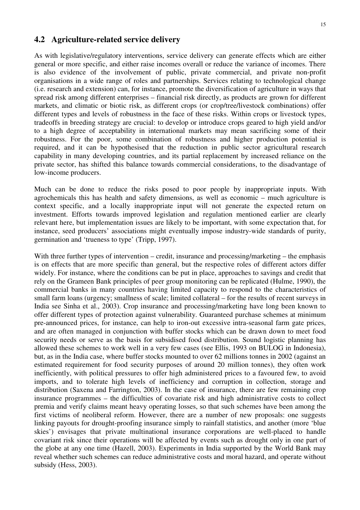### **4.2 Agriculture-related service delivery**

As with legislative/regulatory interventions, service delivery can generate effects which are either general or more specific, and either raise incomes overall or reduce the variance of incomes. There is also evidence of the involvement of public, private commercial, and private non-profit organisations in a wide range of roles and partnerships. Services relating to technological change (i.e. research and extension) can, for instance, promote the diversification of agriculture in ways that spread risk among different enterprises – financial risk directly, as products are grown for different markets, and climatic or biotic risk, as different crops (or crop/tree/livestock combinations) offer different types and levels of robustness in the face of these risks. Within crops or livestock types, tradeoffs in breeding strategy are crucial: to develop or introduce crops geared to high yield and/or to a high degree of acceptability in international markets may mean sacrificing some of their robustness. For the poor, some combination of robustness and higher production potential is required, and it can be hypothesised that the reduction in public sector agricultural research capability in many developing countries, and its partial replacement by increased reliance on the private sector, has shifted this balance towards commercial considerations, to the disadvantage of low-income producers.

Much can be done to reduce the risks posed to poor people by inappropriate inputs. With agrochemicals this has health and safety dimensions, as well as economic – much agriculture is context specific, and a locally inappropriate input will not generate the expected return on investment. Efforts towards improved legislation and regulation mentioned earlier are clearly relevant here, but implementation issues are likely to be important, with some expectation that, for instance, seed producers' associations might eventually impose industry-wide standards of purity, germination and 'trueness to type' (Tripp, 1997).

With three further types of intervention – credit, insurance and processing/marketing – the emphasis is on effects that are more specific than general, but the respective roles of different actors differ widely. For instance, where the conditions can be put in place, approaches to savings and credit that rely on the Grameen Bank principles of peer group monitoring can be replicated (Hulme, 1990), the commercial banks in many countries having limited capacity to respond to the characteristics of small farm loans (urgency; smallness of scale; limited collateral – for the results of recent surveys in India see Sinha et al., 2003). Crop insurance and processing/marketing have long been known to offer different types of protection against vulnerability. Guaranteed purchase schemes at minimum pre-announced prices, for instance, can help to iron-out excessive intra-seasonal farm gate prices, and are often managed in conjunction with buffer stocks which can be drawn down to meet food security needs or serve as the basis for subsidised food distribution. Sound logistic planning has allowed these schemes to work well in a very few cases (see Ellis, 1993 on BULOG in Indonesia), but, as in the India case, where buffer stocks mounted to over 62 millions tonnes in 2002 (against an estimated requirement for food security purposes of around 20 million tonnes), they often work inefficiently, with political pressures to offer high administered prices to a favoured few, to avoid imports, and to tolerate high levels of inefficiency and corruption in collection, storage and distribution (Saxena and Farrington, 2003). In the case of insurance, there are few remaining crop insurance programmes – the difficulties of covariate risk and high administrative costs to collect premia and verify claims meant heavy operating losses, so that such schemes have been among the first victims of neoliberal reform. However, there are a number of new proposals: one suggests linking payouts for drought-proofing insurance simply to rainfall statistics, and another (more 'blue skies') envisages that private multinational insurance corporations are well-placed to handle covariant risk since their operations will be affected by events such as drought only in one part of the globe at any one time (Hazell, 2003). Experiments in India supported by the World Bank may reveal whether such schemes can reduce administrative costs and moral hazard, and operate without subsidy (Hess, 2003).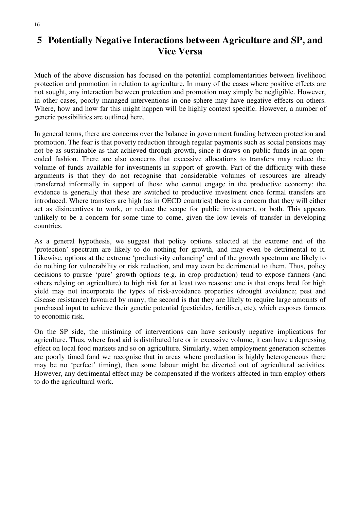# **5 Potentially Negative Interactions between Agriculture and SP, and Vice Versa**

Much of the above discussion has focused on the potential complementarities between livelihood protection and promotion in relation to agriculture. In many of the cases where positive effects are not sought, any interaction between protection and promotion may simply be negligible. However, in other cases, poorly managed interventions in one sphere may have negative effects on others. Where, how and how far this might happen will be highly context specific. However, a number of generic possibilities are outlined here.

In general terms, there are concerns over the balance in government funding between protection and promotion. The fear is that poverty reduction through regular payments such as social pensions may not be as sustainable as that achieved through growth, since it draws on public funds in an openended fashion. There are also concerns that excessive allocations to transfers may reduce the volume of funds available for investments in support of growth. Part of the difficulty with these arguments is that they do not recognise that considerable volumes of resources are already transferred informally in support of those who cannot engage in the productive economy: the evidence is generally that these are switched to productive investment once formal transfers are introduced. Where transfers are high (as in OECD countries) there is a concern that they will either act as disincentives to work, or reduce the scope for public investment, or both. This appears unlikely to be a concern for some time to come, given the low levels of transfer in developing countries.

As a general hypothesis, we suggest that policy options selected at the extreme end of the 'protection' spectrum are likely to do nothing for growth, and may even be detrimental to it. Likewise, options at the extreme 'productivity enhancing' end of the growth spectrum are likely to do nothing for vulnerability or risk reduction, and may even be detrimental to them. Thus, policy decisions to pursue 'pure' growth options (e.g. in crop production) tend to expose farmers (and others relying on agriculture) to high risk for at least two reasons: one is that crops bred for high yield may not incorporate the types of risk-avoidance properties (drought avoidance; pest and disease resistance) favoured by many; the second is that they are likely to require large amounts of purchased input to achieve their genetic potential (pesticides, fertiliser, etc), which exposes farmers to economic risk.

On the SP side, the mistiming of interventions can have seriously negative implications for agriculture. Thus, where food aid is distributed late or in excessive volume, it can have a depressing effect on local food markets and so on agriculture. Similarly, when employment generation schemes are poorly timed (and we recognise that in areas where production is highly heterogeneous there may be no 'perfect' timing), then some labour might be diverted out of agricultural activities. However, any detrimental effect may be compensated if the workers affected in turn employ others to do the agricultural work.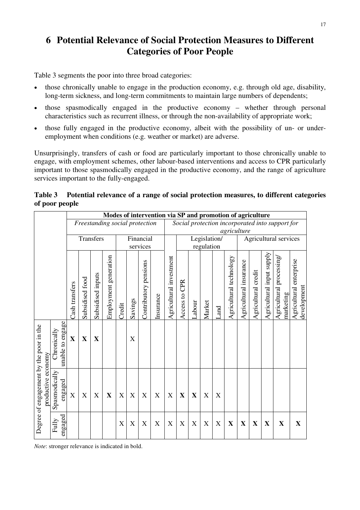# **6 Potential Relevance of Social Protection Measures to Different Categories of Poor People**

Table 3 segments the poor into three broad categories:

- those chronically unable to engage in the production economy, e.g. through old age, disability, long-term sickness, and long-term commitments to maintain large numbers of dependents;
- those spasmodically engaged in the productive economy whether through personal characteristics such as recurrent illness, or through the non-availability of appropriate work;
- those fully engaged in the productive economy, albeit with the possibility of un- or underemployment when conditions (e.g. weather or market) are adverse.

Unsurprisingly, transfers of cash or food are particularly important to those chronically unable to engage, with employment schemes, other labour-based interventions and access to CPR particularly important to those spasmodically engaged in the productive economy, and the range of agriculture services important to the fully-engaged.

|                |  |  |  | Table 3 Potential relevance of a range of social protection measures, to different categories |  |
|----------------|--|--|--|-----------------------------------------------------------------------------------------------|--|
| of poor people |  |  |  |                                                                                               |  |
|                |  |  |  |                                                                                               |  |

|                                                               |                                 |                |                 |                   |                                |        |             |                       | Modes of intervention via SP and promotion of agriculture |                           |                  |             |                            |             |                         |                        |                     |                           |                                                 |                                        |
|---------------------------------------------------------------|---------------------------------|----------------|-----------------|-------------------|--------------------------------|--------|-------------|-----------------------|-----------------------------------------------------------|---------------------------|------------------|-------------|----------------------------|-------------|-------------------------|------------------------|---------------------|---------------------------|-------------------------------------------------|----------------------------------------|
|                                                               |                                 |                |                 |                   | Freestanding social protection |        |             |                       |                                                           |                           |                  |             |                            |             |                         |                        |                     |                           | Social protection incorporated into support for |                                        |
|                                                               |                                 |                |                 | Transfers         |                                |        |             | Financial<br>services |                                                           |                           |                  |             | Legislation/<br>regulation |             | agriculture             |                        |                     |                           | Agricultural services                           |                                        |
|                                                               |                                 | Cash transfers | Subsidised food | Subsidised inputs | Employment generation          | Credit | Savings     | Contributory pensions | Insurance                                                 | Agricultural investment   | CPR<br>Access to | Labour      | Market                     | Land        | Agricultural technology | Agricultural insurance | Agricultural credit | Agricultural input supply | Agricultural processing<br>marketing            | Agricultural enterprise<br>development |
|                                                               | unable to engage<br>Chronically | $\mathbf X$    | $\mathbf X$     | X                 |                                |        | X           |                       |                                                           |                           |                  |             |                            |             |                         |                        |                     |                           |                                                 |                                        |
| Degree of engagement by the poor in the<br>productive economy | Spasmodically<br>engaged        | $\mathbf X$    | $\mathbf X$     | X                 | $\mathbf X$                    | X      | $\mathbf X$ | X                     | $\mathbf X$                                               | $\boldsymbol{\mathrm{X}}$ | $\mathbf X$      | $\mathbf X$ | X                          | X           |                         |                        |                     |                           |                                                 |                                        |
|                                                               | engaged<br>Fully                |                |                 |                   |                                | X      | X           | X                     | X                                                         | X                         | X                | X           | X                          | $\mathbf X$ | $\mathbf X$             | $\mathbf X$            | $\mathbf X$         | $\mathbf X$               | $\mathbf X$                                     | $\mathbf X$                            |

*Note*: stronger relevance is indicated in bold.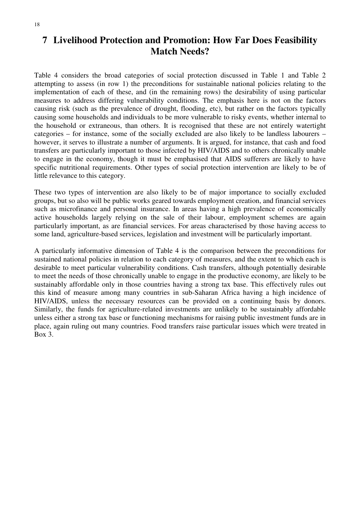# **7 Livelihood Protection and Promotion: How Far Does Feasibility Match Needs?**

Table 4 considers the broad categories of social protection discussed in Table 1 and Table 2 attempting to assess (in row 1) the preconditions for sustainable national policies relating to the implementation of each of these, and (in the remaining rows) the desirability of using particular measures to address differing vulnerability conditions. The emphasis here is not on the factors causing risk (such as the prevalence of drought, flooding, etc), but rather on the factors typically causing some households and individuals to be more vulnerable to risky events, whether internal to the household or extraneous, than others. It is recognised that these are not entirely watertight categories – for instance, some of the socially excluded are also likely to be landless labourers – however, it serves to illustrate a number of arguments. It is argued, for instance, that cash and food transfers are particularly important to those infected by HIV/AIDS and to others chronically unable to engage in the economy, though it must be emphasised that AIDS sufferers are likely to have specific nutritional requirements. Other types of social protection intervention are likely to be of little relevance to this category.

These two types of intervention are also likely to be of major importance to socially excluded groups, but so also will be public works geared towards employment creation, and financial services such as microfinance and personal insurance. In areas having a high prevalence of economically active households largely relying on the sale of their labour, employment schemes are again particularly important, as are financial services. For areas characterised by those having access to some land, agriculture-based services, legislation and investment will be particularly important.

A particularly informative dimension of Table 4 is the comparison between the preconditions for sustained national policies in relation to each category of measures, and the extent to which each is desirable to meet particular vulnerability conditions. Cash transfers, although potentially desirable to meet the needs of those chronically unable to engage in the productive economy, are likely to be sustainably affordable only in those countries having a strong tax base. This effectively rules out this kind of measure among many countries in sub-Saharan Africa having a high incidence of HIV/AIDS, unless the necessary resources can be provided on a continuing basis by donors. Similarly, the funds for agriculture-related investments are unlikely to be sustainably affordable unless either a strong tax base or functioning mechanisms for raising public investment funds are in place, again ruling out many countries. Food transfers raise particular issues which were treated in Box 3.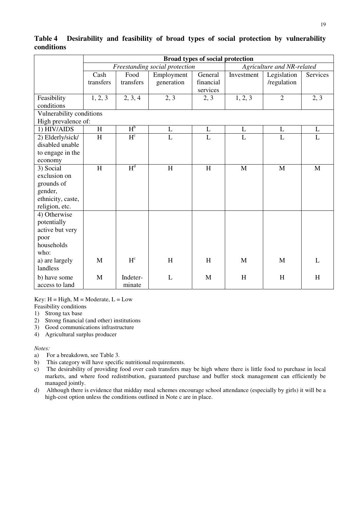|                                     |                   |                         |                                | Broad types of social protection |                |                            |                |
|-------------------------------------|-------------------|-------------------------|--------------------------------|----------------------------------|----------------|----------------------------|----------------|
|                                     |                   |                         | Freestanding social protection |                                  |                | Agriculture and NR-related |                |
|                                     | Cash<br>transfers | Food<br>transfers       | Employment<br>generation       | General<br>financial<br>services | Investment     | Legislation<br>/regulation | Services       |
| Feasibility<br>conditions           | 1, 2, 3           | 2, 3, 4                 | 2, 3                           | 2, 3                             | 1, 2, 3        | $\overline{2}$             | 2, 3           |
| Vulnerability conditions            |                   |                         |                                |                                  |                |                            |                |
| High prevalence of:                 |                   |                         |                                |                                  |                |                            |                |
| 1) HIV/AIDS                         | $\mathbf H$       | $H_p$                   | $\mathbf L$                    | L                                | $\mathbf{L}$   | $\mathbf L$                | L              |
| 2) Elderly/sick/<br>disabled unable | H                 | $H^{c}$                 | $\overline{L}$                 | L                                | $\overline{L}$ | L                          | $\overline{L}$ |
| to engage in the<br>economy         |                   |                         |                                |                                  |                |                            |                |
| 3) Social                           | H                 | H <sup>d</sup>          | $\, {\rm H}$                   | H                                | M              | M                          | M              |
| exclusion on                        |                   |                         |                                |                                  |                |                            |                |
| grounds of                          |                   |                         |                                |                                  |                |                            |                |
| gender,                             |                   |                         |                                |                                  |                |                            |                |
| ethnicity, caste,                   |                   |                         |                                |                                  |                |                            |                |
| religion, etc.                      |                   |                         |                                |                                  |                |                            |                |
| 4) Otherwise                        |                   |                         |                                |                                  |                |                            |                |
| potentially                         |                   |                         |                                |                                  |                |                            |                |
| active but very                     |                   |                         |                                |                                  |                |                            |                |
| poor                                |                   |                         |                                |                                  |                |                            |                |
| households                          |                   |                         |                                |                                  |                |                            |                |
| who:                                |                   |                         |                                |                                  |                |                            |                |
| a) are largely<br>landless          | M                 | $\mathbf{H}^\mathrm{c}$ | H                              | H                                | M              | M                          | L              |
| b) have some<br>access to land      | M                 | Indeter-<br>minate      | L                              | M                                | H              | H                          | H              |

**Table 4 Desirability and feasibility of broad types of social protection by vulnerability conditions** 

Key:  $H = High, M = Moderate, L = Low$ 

- Feasibility conditions
- 1) Strong tax base
- 2) Strong financial (and other) institutions
- 3) Good communications infrastructure
- 4) Agricultural surplus producer

#### *Notes:*

- a) For a breakdown, see Table 3.
- b) This category will have specific nutritional requirements.
- c) The desirability of providing food over cash transfers may be high where there is little food to purchase in local markets, and where food redistribution, guaranteed purchase and buffer stock management can efficiently be managed jointly.
- d) Although there is evidence that midday meal schemes encourage school attendance (especially by girls) it will be a high-cost option unless the conditions outlined in Note c are in place.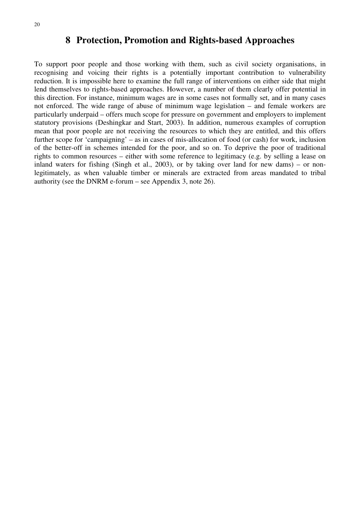## **8 Protection, Promotion and Rights-based Approaches**

To support poor people and those working with them, such as civil society organisations, in recognising and voicing their rights is a potentially important contribution to vulnerability reduction. It is impossible here to examine the full range of interventions on either side that might lend themselves to rights-based approaches. However, a number of them clearly offer potential in this direction. For instance, minimum wages are in some cases not formally set, and in many cases not enforced. The wide range of abuse of minimum wage legislation – and female workers are particularly underpaid – offers much scope for pressure on government and employers to implement statutory provisions (Deshingkar and Start, 2003). In addition, numerous examples of corruption mean that poor people are not receiving the resources to which they are entitled, and this offers further scope for 'campaigning' – as in cases of mis-allocation of food (or cash) for work, inclusion of the better-off in schemes intended for the poor, and so on. To deprive the poor of traditional rights to common resources – either with some reference to legitimacy (e.g. by selling a lease on inland waters for fishing (Singh et al., 2003), or by taking over land for new dams) – or nonlegitimately, as when valuable timber or minerals are extracted from areas mandated to tribal authority (see the DNRM e-forum – see Appendix 3, note 26).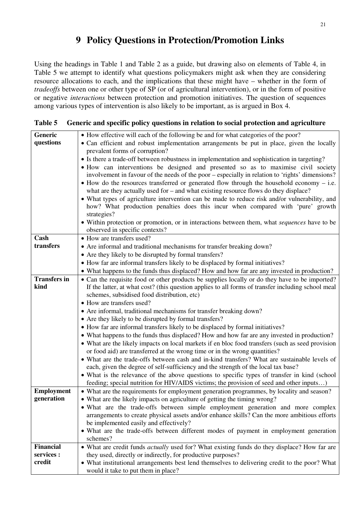# **9 Policy Questions in Protection/Promotion Links**

Using the headings in Table 1 and Table 2 as a guide, but drawing also on elements of Table 4, in Table 5 we attempt to identify what questions policymakers might ask when they are considering resource allocations to each, and the implications that these might have – whether in the form of *tradeoffs* between one or other type of SP (or of agricultural intervention), or in the form of positive or negative *interactions* between protection and promotion initiatives. The question of sequences among various types of intervention is also likely to be important, as is argued in Box 4.

| Generic             | • How effective will each of the following be and for what categories of the poor?                                                                                                       |
|---------------------|------------------------------------------------------------------------------------------------------------------------------------------------------------------------------------------|
| questions           | • Can efficient and robust implementation arrangements be put in place, given the locally                                                                                                |
|                     | prevalent forms of corruption?                                                                                                                                                           |
|                     | • Is there a trade-off between robustness in implementation and sophistication in targeting?                                                                                             |
|                     | • How can interventions be designed and presented so as to maximise civil society                                                                                                        |
|                     | involvement in favour of the needs of the poor - especially in relation to 'rights' dimensions?                                                                                          |
|                     | $\bullet$ How do the resources transferred or generated flow through the household economy – i.e.                                                                                        |
|                     | what are they actually used for $-$ and what existing resource flows do they displace?                                                                                                   |
|                     | • What types of agriculture intervention can be made to reduce risk and/or vulnerability, and                                                                                            |
|                     | how? What production penalties does this incur when compared with 'pure' growth                                                                                                          |
|                     | strategies?                                                                                                                                                                              |
|                     | • Within protection or promotion, or in interactions between them, what sequences have to be                                                                                             |
|                     | observed in specific contexts?                                                                                                                                                           |
| Cash                | • How are transfers used?                                                                                                                                                                |
| transfers           | • Are informal and traditional mechanisms for transfer breaking down?                                                                                                                    |
|                     | • Are they likely to be disrupted by formal transfers?                                                                                                                                   |
|                     | • How far are informal transfers likely to be displaced by formal initiatives?                                                                                                           |
|                     | • What happens to the funds thus displaced? How and how far are any invested in production?                                                                                              |
| <b>Transfers in</b> | • Can the requisite food or other products be supplies locally or do they have to be imported?                                                                                           |
| kind                | If the latter, at what cost? (this question applies to all forms of transfer including school meal                                                                                       |
|                     | schemes, subsidised food distribution, etc)                                                                                                                                              |
|                     | • How are transfers used?                                                                                                                                                                |
|                     | • Are informal, traditional mechanisms for transfer breaking down?                                                                                                                       |
|                     | • Are they likely to be disrupted by formal transfers?                                                                                                                                   |
|                     | • How far are informal transfers likely to be displaced by formal initiatives?                                                                                                           |
|                     | • What happens to the funds thus displaced? How and how far are any invested in production?                                                                                              |
|                     | • What are the likely impacts on local markets if en bloc food transfers (such as seed provision                                                                                         |
|                     | or food aid) are transferred at the wrong time or in the wrong quantities?                                                                                                               |
|                     | • What are the trade-offs between cash and in-kind transfers? What are sustainable levels of                                                                                             |
|                     | each, given the degree of self-sufficiency and the strength of the local tax base?                                                                                                       |
|                     | • What is the relevance of the above questions to specific types of transfer in kind (school<br>feeding; special nutrition for HIV/AIDS victims; the provision of seed and other inputs) |
| <b>Employment</b>   | • What are the requirements for employment generation programmes, by locality and season?                                                                                                |
| generation          | What are the likely impacts on agriculture of getting the timing wrong?                                                                                                                  |
|                     | • What are the trade-offs between simple employment generation and more complex                                                                                                          |
|                     | arrangements to create physical assets and/or enhance skills? Can the more ambitious efforts                                                                                             |
|                     | be implemented easily and effectively?                                                                                                                                                   |
|                     | • What are the trade-offs between different modes of payment in employment generation                                                                                                    |
|                     | schemes?                                                                                                                                                                                 |
| <b>Financial</b>    | • What are credit funds <i>actually</i> used for? What existing funds do they displace? How far are                                                                                      |
| services :          | they used, directly or indirectly, for productive purposes?                                                                                                                              |
| credit              | • What institutional arrangements best lend themselves to delivering credit to the poor? What                                                                                            |
|                     | would it take to put them in place?                                                                                                                                                      |

### **Table 5 Generic and specific policy questions in relation to social protection and agriculture**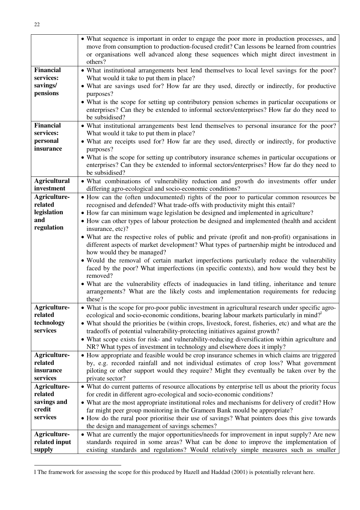|                                                                     | • What sequence is important in order to engage the poor more in production processes, and<br>move from consumption to production-focused credit? Can lessons be learned from countries<br>or organisations well advanced along these sequences which might direct investment in<br>others?                                                                                                                                                                                                                                                                                                                                                                                                                                                                                                                                                                                                                                                                                                                            |
|---------------------------------------------------------------------|------------------------------------------------------------------------------------------------------------------------------------------------------------------------------------------------------------------------------------------------------------------------------------------------------------------------------------------------------------------------------------------------------------------------------------------------------------------------------------------------------------------------------------------------------------------------------------------------------------------------------------------------------------------------------------------------------------------------------------------------------------------------------------------------------------------------------------------------------------------------------------------------------------------------------------------------------------------------------------------------------------------------|
| <b>Financial</b><br>services:<br>savings/<br>pensions               | • What institutional arrangements best lend themselves to local level savings for the poor?<br>What would it take to put them in place?<br>• What are savings used for? How far are they used, directly or indirectly, for productive                                                                                                                                                                                                                                                                                                                                                                                                                                                                                                                                                                                                                                                                                                                                                                                  |
|                                                                     | purposes?<br>• What is the scope for setting up contributory pension schemes in particular occupations or<br>enterprises? Can they be extended to informal sectors/enterprises? How far do they need to<br>be subsidised?                                                                                                                                                                                                                                                                                                                                                                                                                                                                                                                                                                                                                                                                                                                                                                                              |
| <b>Financial</b><br>services:<br>personal<br>insurance              | • What institutional arrangements best lend themselves to personal insurance for the poor?<br>What would it take to put them in place?<br>• What are receipts used for? How far are they used, directly or indirectly, for productive<br>purposes?<br>• What is the scope for setting up contributory insurance schemes in particular occupations or<br>enterprises? Can they be extended to informal sectors/enterprises? How far do they need to<br>be subsidised?                                                                                                                                                                                                                                                                                                                                                                                                                                                                                                                                                   |
| <b>Agricultural</b><br>investment                                   | • What combinations of vulnerability reduction and growth do investments offer under<br>differing agro-ecological and socio-economic conditions?                                                                                                                                                                                                                                                                                                                                                                                                                                                                                                                                                                                                                                                                                                                                                                                                                                                                       |
| Agriculture-<br>related<br>legislation<br>and<br>regulation         | • How can the (often undocumented) rights of the poor to particular common resources be<br>recognised and defended? What trade-offs with productivity might this entail?<br>• How far can minimum wage legislation be designed and implemented in agriculture?<br>• How can other types of labour protection be designed and implemented (health and accident<br>insurance, etc)?<br>• What are the respective roles of public and private (profit and non-profit) organisations in<br>different aspects of market development? What types of partnership might be introduced and<br>how would they be managed?<br>· Would the removal of certain market imperfections particularly reduce the vulnerability<br>faced by the poor? What imperfections (in specific contexts), and how would they best be<br>removed?<br>• What are the vulnerability effects of inadequacies in land titling, inheritance and tenure<br>arrangements? What are the likely costs and implementation requirements for reducing<br>these? |
| Agriculture-<br>related<br>technology<br>services                   | • What is the scope for pro-poor public investment in agricultural research under specific agro-<br>ecological and socio-economic conditions, bearing labour markets particularly in mind? <sup>1</sup><br>• What should the priorities be (within crops, livestock, forest, fisheries, etc) and what are the<br>tradeoffs of potential vulnerability-protecting initiatives against growth?<br>• What scope exists for risk- and vulnerability-reducing diversification within agriculture and<br>NR? What types of investment in technology and elsewhere does it imply?                                                                                                                                                                                                                                                                                                                                                                                                                                             |
| Agriculture-<br>related<br>insurance<br>services                    | • How appropriate and feasible would be crop insurance schemes in which claims are triggered<br>by, e.g. recorded rainfall and not individual estimates of crop loss? What government<br>piloting or other support would they require? Might they eventually be taken over by the<br>private sector?                                                                                                                                                                                                                                                                                                                                                                                                                                                                                                                                                                                                                                                                                                                   |
| <b>Agriculture-</b><br>related<br>savings and<br>credit<br>services | • What do current patterns of resource allocations by enterprise tell us about the priority focus<br>for credit in different agro-ecological and socio-economic conditions?<br>• What are the most appropriate institutional roles and mechanisms for delivery of credit? How<br>far might peer group monitoring in the Grameen Bank mould be appropriate?<br>• How do the rural poor prioritise their use of savings? What pointers does this give towards                                                                                                                                                                                                                                                                                                                                                                                                                                                                                                                                                            |
| Agriculture-<br>related input<br>supply                             | the design and management of savings schemes?<br>• What are currently the major opportunities/needs for improvement in input supply? Are new<br>standards required in some areas? What can be done to improve the implementation of<br>existing standards and regulations? Would relatively simple measures such as smaller                                                                                                                                                                                                                                                                                                                                                                                                                                                                                                                                                                                                                                                                                            |

l The framework for assessing the scope for this produced by Hazell and Haddad (2001) is potentially relevant here.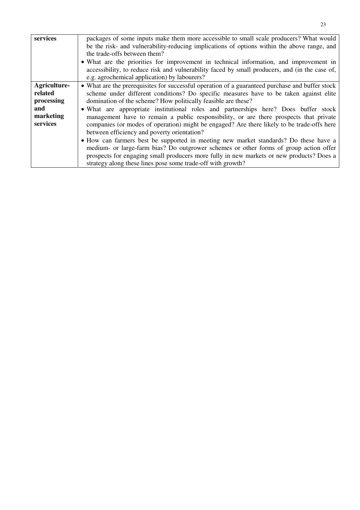| services     | packages of some inputs make them more accessible to small scale producers? What would          |
|--------------|-------------------------------------------------------------------------------------------------|
|              | be the risk- and vulnerability-reducing implications of options within the above range, and     |
|              | the trade-offs between them?                                                                    |
|              | • What are the priorities for improvement in technical information, and improvement in          |
|              | accessibility, to reduce risk and vulnerability faced by small producers, and (in the case of,  |
|              | e.g. agrochemical application) by labourers?                                                    |
| Agriculture- | • What are the prerequisites for successful operation of a guaranteed purchase and buffer stock |
| related      | scheme under different conditions? Do specific measures have to be taken against elite          |
| processing   | domination of the scheme? How politically feasible are these?                                   |
| and          | • What are appropriate institutional roles and partnerships here? Does buffer stock             |
| marketing    | management have to remain a public responsibility, or are there prospects that private          |
| services     | companies (or modes of operation) might be engaged? Are there likely to be trade-offs here      |
|              | between efficiency and poverty orientation?                                                     |
|              | • How can farmers best be supported in meeting new market standards? Do these have a            |
|              | medium- or large-farm bias? Do outgrower schemes or other forms of group action offer           |
|              | prospects for engaging small producers more fully in new markets or new products? Does a        |
|              | strategy along these lines pose some trade-off with growth?                                     |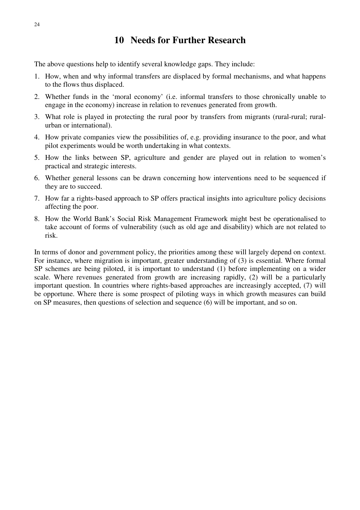# **10 Needs for Further Research**

The above questions help to identify several knowledge gaps. They include:

- 1. How, when and why informal transfers are displaced by formal mechanisms, and what happens to the flows thus displaced.
- 2. Whether funds in the 'moral economy' (i.e. informal transfers to those chronically unable to engage in the economy) increase in relation to revenues generated from growth.
- 3. What role is played in protecting the rural poor by transfers from migrants (rural-rural; ruralurban or international).
- 4. How private companies view the possibilities of, e.g. providing insurance to the poor, and what pilot experiments would be worth undertaking in what contexts.
- 5. How the links between SP, agriculture and gender are played out in relation to women's practical and strategic interests.
- 6. Whether general lessons can be drawn concerning how interventions need to be sequenced if they are to succeed.
- 7. How far a rights-based approach to SP offers practical insights into agriculture policy decisions affecting the poor.
- 8. How the World Bank's Social Risk Management Framework might best be operationalised to take account of forms of vulnerability (such as old age and disability) which are not related to risk.

In terms of donor and government policy, the priorities among these will largely depend on context. For instance, where migration is important, greater understanding of (3) is essential. Where formal SP schemes are being piloted, it is important to understand (1) before implementing on a wider scale. Where revenues generated from growth are increasing rapidly, (2) will be a particularly important question. In countries where rights-based approaches are increasingly accepted, (7) will be opportune. Where there is some prospect of piloting ways in which growth measures can build on SP measures, then questions of selection and sequence (6) will be important, and so on.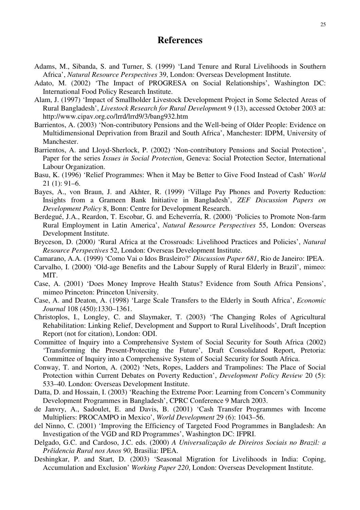### **References**

- Adams, M., Sibanda, S. and Turner, S. (1999) 'Land Tenure and Rural Livelihoods in Southern Africa', *Natural Resource Perspectives* 39, London: Overseas Development Institute.
- Adato, M. (2002) 'The Impact of PROGRESA on Social Relationships', Washington DC: International Food Policy Research Institute.
- Alam, J. (1997) 'Impact of Smallholder Livestock Development Project in Some Selected Areas of Rural Bangladesh', *Livestock Research for Rural Developmen*t 9 (13), accessed October 2003 at: http://www.cipav.org.co/lrrd/lrrd9/3/bang932.htm
- Barrientos, A. (2003) 'Non-contributory Pensions and the Well-being of Older People: Evidence on Multidimensional Deprivation from Brazil and South Africa', Manchester: IDPM, University of Manchester.
- Barrientos, A. and Lloyd-Sherlock, P. (2002) 'Non-contributory Pensions and Social Protection', Paper for the series *Issues in Social Protection*, Geneva: Social Protection Sector, International Labour Organization.
- Basu, K. (1996) 'Relief Programmes: When it May be Better to Give Food Instead of Cash' *World*  21 (1): 91–6.
- Bayes, A., von Braun, J. and Akhter, R. (1999) 'Village Pay Phones and Poverty Reduction: Insights from a Grameen Bank Initiative in Bangladesh', *ZEF Discussion Papers on Development Policy* 8, Bonn: Centre for Development Research.
- Berdegué, J.A., Reardon, T. Escobar, G. and Echeverría, R. (2000) 'Policies to Promote Non-farm Rural Employment in Latin America', *Natural Resource Perspectives* 55, London: Overseas Development Institute.
- Bryceson, D. (2000*)* 'Rural Africa at the Crossroads: Livelihood Practices and Policies', *Natural Resource Perspectives* 52, London: Overseas Development Institute.
- Camarano, A.A. (1999) 'Como Vai o Idos Brasleiro?' *Discussion Paper 681*, Rio de Janeiro: IPEA.
- Carvalho, I. (2000) 'Old-age Benefits and the Labour Supply of Rural Elderly in Brazil', mimeo: MIT.
- Case, A. (2001) 'Does Money Improve Health Status? Evidence from South Africa Pensions', mimeo Princeton: Princeton University.
- Case, A. and Deaton, A. (1998) 'Large Scale Transfers to the Elderly in South Africa', *Economic Journal* 108 (450):1330–1361.
- Christoplos, I., Longley, C. and Slaymaker, T. (2003) 'The Changing Roles of Agricultural Rehabilitation: Linking Relief, Development and Support to Rural Livelihoods', Draft Inception Report (not for citation), London: ODI.
- Committee of Inquiry into a Comprehensive System of Social Security for South Africa (2002) 'Transforming the Present-Protecting the Future', Draft Consolidated Report, Pretoria: Committee of Inquiry into a Comprehensive System of Social Security for South Africa.
- Conway, T. and Norton, A. (2002) 'Nets, Ropes, Ladders and Trampolines: The Place of Social Protection within Current Debates on Poverty Reduction', *Development Policy Review* 20 (5): 533–40. London: Overseas Development Institute.
- Datta, D. and Hossain, I. (2003) 'Reaching the Extreme Poor: Learning from Concern's Community Development Programmes in Bangladesh', CPRC Conference 9 March 2003.
- de Janvry, A., Sadoulet, E. and Davis, B. (2001) 'Cash Transfer Programmes with Income Multipliers: PROCAMPO in Mexico', *World Development* 29 (6): 1043–56.
- del Ninno, C. (2001) 'Improving the Efficiency of Targeted Food Programmes in Bangladesh: An Investigation of the VGD and RD Programmes', Washington DC: IFPRI.
- Delgado, G.C. and Cardoso, J.C. eds. (2000) *A Universalização de Direiros Sociais no Brazil: a Prêidencia Rural nos Anos 90*, Brasilia: IPEA.
- Deshingkar, P. and Start, D. (2003) 'Seasonal Migration for Livelihoods in India: Coping, Accumulation and Exclusion' *Working Paper 220*, London: Overseas Development Institute.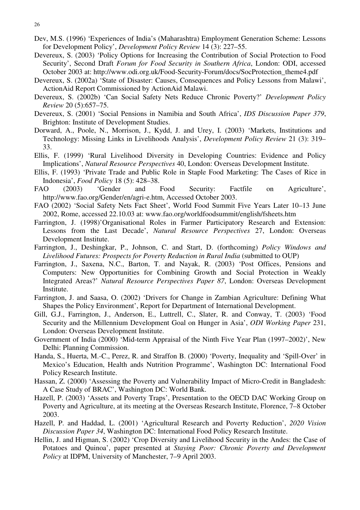- Dev, M.S. (1996) 'Experiences of India's (Maharashtra) Employment Generation Scheme: Lessons for Development Policy', *Development Policy Review* 14 (3): 227–55.
- Devereux, S. (2003) 'Policy Options for Increasing the Contribution of Social Protection to Food Security', Second Draft *Forum for Food Security in Southern Africa*, London: ODI, accessed October 2003 at: http://www.odi.org.uk/Food-Security-Forum/docs/SocProtection\_theme4.pdf
- Devereux, S. (2002a) 'State of Disaster: Causes, Consequences and Policy Lessons from Malawi', ActionAid Report Commissioned by ActionAid Malawi.
- Devereux, S. (2002b) 'Can Social Safety Nets Reduce Chronic Poverty?' *Development Policy Review* 20 (5):657–75.
- Devereux, S. (2001) 'Social Pensions in Namibia and South Africa', *IDS Discussion Paper 379*, Brighton: Institute of Development Studies.
- Dorward, A., Poole, N., Morrison, J., Kydd, J. and Urey, I. (2003) 'Markets, Institutions and Technology: Missing Links in Livelihoods Analysis', *Development Policy Review* 21 (3): 319– 33.
- Ellis, F. (1999) 'Rural Livelihood Diversity in Developing Countries: Evidence and Policy Implications', *Natural Resource Perspectives* 40, London: Overseas Development Institute.
- Ellis, F. (1993) 'Private Trade and Public Role in Staple Food Marketing: The Cases of Rice in Indonesia', *Food Policy* 18 (5): 428–38.
- FAO (2003) 'Gender and Food Security: Factfile on Agriculture', http://www.fao.org/Gender/en/agri-e.htm, Accessed October 2003.
- FAO (2002) 'Social Safety Nets Fact Sheet', World Food Summit Five Years Later 10–13 June 2002, Rome, accessed 22.10.03 at: www.fao.org/worldfoodsummit/english/fsheets.htm
- Farrington, J. (1998)'Organisational Roles in Farmer Participatory Research and Extension: Lessons from the Last Decade', *Natural Resource Perspectives* 27, London: Overseas Development Institute.
- Farrington, J., Deshingkar, P., Johnson, C. and Start, D. (forthcoming) *Policy Windows and Livelihood Futures: Prospects for Poverty Reduction in Rural India* (submitted to OUP)
- Farrington, J., Saxena, N.C., Barton, T. and Nayak, R. (2003) 'Post Offices, Pensions and Computers: New Opportunities for Combining Growth and Social Protection in Weakly Integrated Areas?' *Natural Resource Perspectives Paper 87*, London: Overseas Development Institute.
- Farrington, J. and Saasa, O. (2002) 'Drivers for Change in Zambian Agriculture: Defining What Shapes the Policy Environment', Report for Department of International Development.
- Gill, G.J., Farrington, J., Anderson, E., Luttrell, C., Slater, R. and Conway, T. (2003) 'Food Security and the Millennium Development Goal on Hunger in Asia', *ODI Working Paper* 231, London: Overseas Development Institute.
- Government of India (2000) 'Mid-term Appraisal of the Ninth Five Year Plan (1997–2002)', New Delhi: Planning Commission.
- Handa, S., Huerta, M.-C., Perez, R. and Straffon B. (2000) 'Poverty, Inequality and 'Spill-Over' in Mexico's Education, Health ands Nutrition Programme', Washington DC: International Food Policy Research Institute.
- Hassan, Z. (2000) 'Assessing the Poverty and Vulnerability Impact of Micro-Credit in Bangladesh: A Case Study of BRAC', Washington DC: World Bank.
- Hazell, P. (2003) 'Assets and Poverty Traps', Presentation to the OECD DAC Working Group on Poverty and Agriculture, at its meeting at the Overseas Research Institute, Florence, 7–8 October 2003.
- Hazell, P. and Haddad, L. (2001) 'Agricultural Research and Poverty Reduction', *2020 Vision Discussion Paper 34*, Washington DC: International Food Policy Research Institute.
- Hellin, J. and Higman, S. (2002) 'Crop Diversity and Livelihood Security in the Andes: the Case of Potatoes and Quinoa', paper presented at *Staying Poor: Chronic Poverty and Development Policy* at IDPM, University of Manchester, 7–9 April 2003.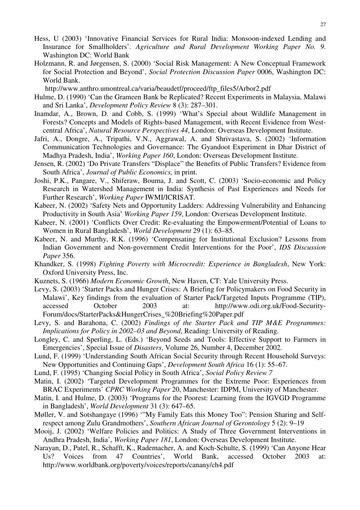- Hess, U (2003) 'Innovative Financial Services for Rural India: Monsoon-indexed Lending and Insurance for Smallholders'. *Agriculture and Rural Development Working Paper No. 9*. Washington DC: World Bank
- Holzmann, R. and Jørgensen, S. (2000) 'Social Risk Management: A New Conceptual Framework for Social Protection and Beyond', *Social Protection Discussion Paper* 0006, Washington DC: World Bank.

http://www.anthro.umontreal.ca/varia/beaudetf/proceed/ftp\_files5/Arbor2.pdf

- Hulme, D. (1990) 'Can the Grameen Bank be Replicated? Recent Experiments in Malaysia, Malawi and Sri Lanka', *Development Policy Review* 8 (3): 287–301.
- Inamdar, A., Brown, D. and Cobb, S. (1999) 'What's Special about Wildlife Management in Forests? Concepts and Models of Rights-based Management, with Recent Evidence from Westcentral Africa', *Natural Resource Perspectives 44*, London: Overseas Development Institute.
- Jafri, A., Dongre, A., Tripathi, V.N., Aggrawal, A. and Shrivastava, S. (2002) 'Information Communication Technologies and Governance: The Gyandoot Experiment in Dhar District of Madhya Pradesh, India', *Working Paper 160*, London: Overseas Development Institute.
- Jensen, R. (2002) 'Do Private Transfers "Displace" the Benefits of Public Transfers? Evidence from South Africa', *Journal of Public Economics,* in print.
- Joshi, P.K., Pangare, V., Shiferaw, Bouma, J. and Scott, C. (2003) 'Socio-economic and Policy Research in Watershed Management in India: Synthesis of Past Experiences and Needs for Further Research', *Working Paper* IWMI/ICRISAT.
- Kabeer, N. (2002) 'Safety Nets and Opportunity Ladders: Addressing Vulnerability and Enhancing Productivity in South Asia' *Working Paper 159*, London: Overseas Development Institute.
- Kabeer, N. (2001) 'Conflicts Over Credit: Re-evaluating the Empowerment/Potential of Loans to Women in Rural Bangladesh', *World Development* 29 (1): 63–85.
- Kabeer, N. and Murthy, R.K. (1996) 'Compensating for Institutional Exclusion? Lessons from Indian Government and Non-government Credit Interventions for the Poor', *IDS Discussion Paper* 356.
- Khandker, S. (1998) *Fighting Poverty with Microcredit: Experience in Bangladesh*, New York: Oxford University Press, Inc.
- Kuznets, S. (1966) *Modern Economic Growth*, New Haven, CT: Yale University Press.
- Levy, S. (2003) 'Starter Packs and Hunger Crises: A Briefing for Policymakers on Food Security in Malawi', Key findings from the evaluation of Starter Pack/Targeted Inputs Programme (TIP), accessed October 2003 at: http://www.odi.org.uk/Food-Security-Forum/docs/StarterPacks&HungerCrises\_%20Briefing%20Paper.pdf
- Levy, S. and Barahona, C. (2002) *Findings of the Starter Pack and TIP M&E Programmes: Implications for Policy in 2002–03 and Beyond*, Reading: University of Reading.
- Longley, C. and Sperling, L. (Eds.) 'Beyond Seeds and Tools: Effective Support to Farmers in Emergencies', Special Issue of *Disasters*, Volume 26, Number 4, December 2002.
- Lund, F. (1999) 'Understanding South African Social Security through Recent Household Surveys: New Opportunities and Continuing Gaps', *Development South Africa* 16 (1): 55–67.
- Lund, F. (1995) 'Changing Social Policy in South Africa', *Social Policy Review 7*
- Matin, I. (2002) 'Targeted Development Programmes for the Extreme Poor: Experiences from BRAC Experiments' *CPRC Working Paper* 20, Manchester: IDPM, University of Manchester.
- Matin, I. and Hulme, D. (2003) 'Programs for the Poorest: Learning from the IGVGD Programme in Bangladesh', *World Development* 31 (3): 647–65.
- Møller, V. and Sotshangaye (1996) '"My Family Eats this Money Too": Pension Sharing and Selfrespect among Zulu Grandmothers', *Southern African Journal of Gerontology* 5 (2): 9–19
- Mooij, J. (2002) 'Welfare Policies and Politics: A Study of Three Government Interventions in Andhra Pradesh, India', *Working Paper 181*, London: Overseas Development Institute.
- Narayan, D., Patel, R., Schafft, K., Rademacher, A. and Koch-Schulte, S. (1999) 'Can Anyone Hear Us? Voices from 47 Countries', World Bank, accessed October 2003 at: http://www.worldbank.org/poverty/voices/reports/canany/ch4.pdf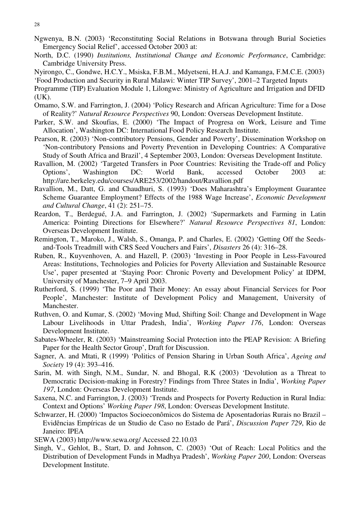- Ngwenya, B.N. (2003) 'Reconstituting Social Relations in Botswana through Burial Societies Emergency Social Relief', accessed October 2003 at:
- North, D.C. (1990) *Institutions, Institutional Change and Economic Performance*, Cambridge: Cambridge University Press.
- Nyirongo, C., Gondwe, H.C.Y., Msiska, F.B.M., Mdyetseni, H.A.J. and Kamanga, F.M.C.E. (2003)

'Food Production and Security in Rural Malawi: Winter TIP Survey', 2001–2 Targeted Inputs

- Programme (TIP) Evaluation Module 1, Lilongwe: Ministry of Agriculture and Irrigation and DFID (UK).
- Omamo, S.W. and Farrington, J. (2004) 'Policy Research and African Agriculture: Time for a Dose of Reality?' *Natural Resource Perspectives* 90, London: Overseas Development Institute.
- Parker, S.W. and Skoufias, E. (2000) 'The Impact of Progresa on Work, Leisure and Time Allocation', Washington DC: International Food Policy Research Institute.
- Pearson, R. (2003) 'Non-contributory Pensions, Gender and Poverty', Dissemination Workshop on 'Non-contributory Pensions and Poverty Prevention in Developing Countries: A Comparative Study of South Africa and Brazil', 4 September 2003, London: Overseas Development Institute.
- Ravallion, M. (2002) 'Targeted Transfers in Poor Countries: Revisiting the Trade-off and Policy Options', Washington DC: World Bank, accessed October 2003 at: http://are.berkeley.edu/courses/ARE253/2002/handout/Ravallion.pdf
- Ravallion, M., Datt, G. and Chaudhuri, S. (1993) 'Does Maharashtra's Employment Guarantee Scheme Guarantee Employment? Effects of the 1988 Wage Increase', *Economic Development and Cultural Change*, 41 (2): 251–75.
- Reardon, T., Berdegué, J.A. and Farrington, J. (2002) 'Supermarkets and Farming in Latin America: Pointing Directions for Elsewhere?' *Natural Resource Perspectives 81*, London: Overseas Development Institute.
- Remington, T., Maroko, J., Walsh, S., Omanga, P. and Charles, E. (2002) 'Getting Off the Seedsand-Tools Treadmill with CRS Seed Vouchers and Fairs', *Disasters* 26 (4): 316–28.
- Ruben, R., Kuyvenhoven, A. and Hazell, P. (2003) 'Investing in Poor People in Less-Favoured Areas: Institutions, Technologies and Policies for Poverty Alleviation and Sustainable Resource Use', paper presented at 'Staying Poor: Chronic Poverty and Development Policy' at IDPM, University of Manchester, 7–9 April 2003.
- Rutherford, S. (1999) 'The Poor and Their Money: An essay about Financial Services for Poor People', Manchester: Institute of Development Policy and Management, University of Manchester.
- Ruthven, O. and Kumar, S. (2002) 'Moving Mud, Shifting Soil: Change and Development in Wage Labour Livelihoods in Uttar Pradesh, India', *Working Paper 176*, London: Overseas Development Institute.
- Sabates-Wheeler, R. (2003) 'Mainstreaming Social Protection into the PEAP Revision: A Briefing Paper for the Health Sector Group', Draft for Discussion.
- Sagner, A. and Mtati, R (1999) 'Politics of Pension Sharing in Urban South Africa', *Ageing and Society* 19 (4): 393–416.
- Sarin, M. with Singh, N.M., Sundar, N. and Bhogal, R.K (2003) 'Devolution as a Threat to Democratic Decision-making in Forestry? Findings from Three States in India', *Working Paper 197*, London: Overseas Development Institute.
- Saxena, N.C. and Farrington, J. (2003) 'Trends and Prospects for Poverty Reduction in Rural India: Context and Options' *Working Paper 198*, London: Overseas Development Institute.
- Schwarzer, H. (2000) 'Impactos Socioeconômicos do Sistema de Aposentadorias Rurais no Brazil Evidências Empíricas de un Studio de Caso no Estado de Pará', *Discussion Paper 729*, Rio de Janeiro: IPEA
- SEWA (2003) http://www.sewa.org/ Accessed 22.10.03
- Singh, V., Gehlot, B., Start, D. and Johnson, C. (2003) 'Out of Reach: Local Politics and the Distribution of Development Funds in Madhya Pradesh', *Working Paper 200*, London: Overseas Development Institute.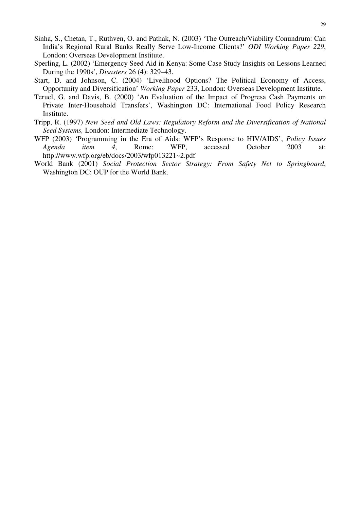- Sinha, S., Chetan, T., Ruthven, O. and Pathak, N. (2003) 'The Outreach/Viability Conundrum: Can India's Regional Rural Banks Really Serve Low-Income Clients?' *ODI Working Paper 229*, London: Overseas Development Institute.
- Sperling, L. (2002) 'Emergency Seed Aid in Kenya: Some Case Study Insights on Lessons Learned During the 1990s', *Disasters* 26 (4): 329–43.
- Start, D. and Johnson, C. (2004) 'Livelihood Options? The Political Economy of Access, Opportunity and Diversification' *Working Paper* 233, London: Overseas Development Institute.
- Teruel, G. and Davis, B. (2000) 'An Evaluation of the Impact of Progresa Cash Payments on Private Inter-Household Transfers', Washington DC: International Food Policy Research Institute.
- Tripp, R. (1997) *New Seed and Old Laws: Regulatory Reform and the Diversification of National Seed Systems,* London: Intermediate Technology.
- WFP (2003) 'Programming in the Era of Aids: WFP's Response to HIV/AIDS', *Policy Issues Agenda item 4*, Rome: WFP, accessed October 2003 at: http://www.wfp.org/eb/docs/2003/wfp013221~2.pdf
- World Bank (2001) *Social Protection Sector Strategy: From Safety Net to Springboard*, Washington DC: OUP for the World Bank.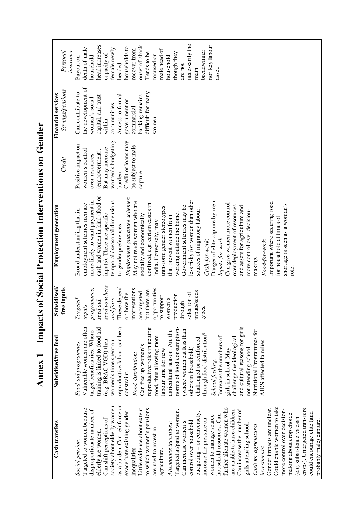**Annex 1 Impacts of Social Protection Interventions on Gender**  Annex 1 Impacts of Social Protection Interventions on Gender

| <b>Cash transfers</b>         | Subsidised/free food           | Subsidised/                       | <b>Employment generation</b>     |                     | <b>Financial services</b> |                 |
|-------------------------------|--------------------------------|-----------------------------------|----------------------------------|---------------------|---------------------------|-----------------|
|                               |                                | ee inputs<br>É                    |                                  | Credit              | Savings/pensions          | Personal        |
|                               |                                |                                   |                                  |                     |                           | insurance       |
| Social pension:               | Food aid programmes:           | Targeted                          | Broad understanding that in      | Positive impact on  | Can contribute to         | Payout on       |
| Targeted to women because     | Vulnerable women are often     | inputs                            | employment schemes men are       | women's control     | the development of        | death of male   |
| disproportionate number of    | target beneficiaries. Where    | programmes,                       | more likely to want payment in   | over resources      | women's social            | household       |
| elderly are women.            | training is linked to food aid | seed aid,                         | cash and women in kind (food or  | (empowerment).      | capital, and trust        | head increases  |
| Can shift perceptions of      | (e.g. BRAC VGD) then           | seed vouchers                     | inputs). There are specific      | But may increase    | within                    | capacity of     |
| society about elderly women   | women's time spent on          | and fairs:                        | temporal / seasonal dimensions   | women's budgeting   | communities.              | female newly    |
| as a burden. Can reinforce or | reproductive labour can be a   | These depend                      | to gender preferences.           | burden.             | Access to formal          | headed          |
| exacerbate existing gender    | constraint.                    | now the<br>$\overline{\text{on}}$ | Employment guarantee schemes:    | Credit or loans may | government or             | households to   |
| inequalities.                 | Food distribution:             | interventions                     | May not reach women who are      | be subject to male  | commercial                | recover from    |
| Little evidence about extent  | Can free up women's            | are targeted                      | socially and economically        | capture.            | banking remains           | onset of shock  |
| to which women's pensions     | reproductive roles in getting  | but there are                     | confined, e.g. certain castes in |                     | difficult for many        | Tends to be     |
| are used to invest in         | food, thus allowing more       | opportunities                     | India. Conversely, may           |                     | women.                    | focused on      |
| agriculture.                  | labour time for new            | to support                        | transform gender stereotypes     |                     |                           | male head of    |
| Attendance incentives:        | agricultural season. Are the   | women's                           | that prevent women from          |                     |                           | household       |
| Targeted at/paid to women.    | norms of food consumptions     | production                        | working outside the home.        |                     |                           | though they     |
| Can increase women's          | (where women eat less than     | through                           | Government schemes may be        |                     |                           | are not         |
| control over household        | others in household)           | selection of                      | less risky for women than other  |                     |                           | necessarily the |
| budgeting - or conversely,    | challenged or reinforced       | inputs/seeds                      | sources of migratory labour.     |                     |                           | main            |
| increase the pressure on      | through food distribution?     | types.                            | Cash-for-work:                   |                     |                           | breadwinner     |
| women to manage scarce        | School feeding:                |                                   | Danger of elite capture by men.  |                     |                           | nor key labour  |
| household resources. Can      | Increases the numbers of       |                                   | Inputs-for-work:                 |                     |                           | asset.          |
| further alienate women who    | girls in school. May           |                                   | Can give women more control      |                     |                           |                 |
| are unable to have children.  | challenge the ideological      |                                   | over deployment of resources     |                     |                           |                 |
| Can increase the number of    | and cultural reasons for girls |                                   | and assets for agriculture and   |                     |                           |                 |
| girls attending school.       | not attending school.          |                                   | more control over decision-      |                     |                           |                 |
| Cash for agricultural         | Nutritional Programmes for     |                                   | making.                          |                     |                           |                 |
| investments:                  | AIDS affected families         |                                   | Food-for-work:                   |                     |                           |                 |
| Gender impacts are unclear.   |                                |                                   | Important where securing food    |                     |                           |                 |
| Could enable women to take    |                                |                                   | for household at times of        |                     |                           |                 |
| more control over decision-   |                                |                                   | shortage is seen as a woman's    |                     |                           |                 |
| making about crop choice      |                                |                                   |                                  |                     |                           |                 |
| (e.g. subsistence vs cash     |                                |                                   |                                  |                     |                           |                 |
| crops). Untargeted transfers  |                                |                                   |                                  |                     |                           |                 |
| could encourage elite (and    |                                |                                   |                                  |                     |                           |                 |
| probably male) capture.       |                                |                                   |                                  |                     |                           |                 |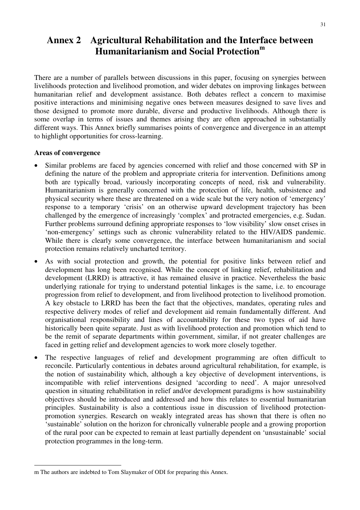# **Annex 2 Agricultural Rehabilitation and the Interface between Humanitarianism and Social Protection<sup>m</sup>**

There are a number of parallels between discussions in this paper, focusing on synergies between livelihoods protection and livelihood promotion, and wider debates on improving linkages between humanitarian relief and development assistance. Both debates reflect a concern to maximise positive interactions and minimising negative ones between measures designed to save lives and those designed to promote more durable, diverse and productive livelihoods. Although there is some overlap in terms of issues and themes arising they are often approached in substantially different ways. This Annex briefly summarises points of convergence and divergence in an attempt to highlight opportunities for cross-learning.

### **Areas of convergence**

- Similar problems are faced by agencies concerned with relief and those concerned with SP in defining the nature of the problem and appropriate criteria for intervention. Definitions among both are typically broad, variously incorporating concepts of need, risk and vulnerability. Humanitarianism is generally concerned with the protection of life, health, subsistence and physical security where these are threatened on a wide scale but the very notion of 'emergency' response to a temporary 'crisis' on an otherwise upward development trajectory has been challenged by the emergence of increasingly 'complex' and protracted emergencies, e.g. Sudan. Further problems surround defining appropriate responses to 'low visibility' slow onset crises in 'non-emergency' settings such as chronic vulnerability related to the HIV/AIDS pandemic. While there is clearly some convergence, the interface between humanitarianism and social protection remains relatively uncharted territory.
- As with social protection and growth, the potential for positive links between relief and development has long been recognised. While the concept of linking relief, rehabilitation and development (LRRD) is attractive, it has remained elusive in practice. Nevertheless the basic underlying rationale for trying to understand potential linkages is the same, i.e. to encourage progression from relief to development, and from livelihood protection to livelihood promotion. A key obstacle to LRRD has been the fact that the objectives, mandates, operating rules and respective delivery modes of relief and development aid remain fundamentally different. And organisational responsibility and lines of accountability for these two types of aid have historically been quite separate. Just as with livelihood protection and promotion which tend to be the remit of separate departments within government, similar, if not greater challenges are faced in getting relief and development agencies to work more closely together.
- The respective languages of relief and development programming are often difficult to reconcile. Particularly contentious in debates around agricultural rehabilitation, for example, is the notion of sustainability which, although a key objective of development interventions, is incompatible with relief interventions designed 'according to need'. A major unresolved question in situating rehabilitation in relief and/or development paradigms is how sustainability objectives should be introduced and addressed and how this relates to essential humanitarian principles. Sustainability is also a contentious issue in discussion of livelihood protectionpromotion synergies. Research on weakly integrated areas has shown that there is often no 'sustainable' solution on the horizon for chronically vulnerable people and a growing proportion of the rural poor can be expected to remain at least partially dependent on 'unsustainable' social protection programmes in the long-term.

m The authors are indebted to Tom Slaymaker of ODI for preparing this Annex.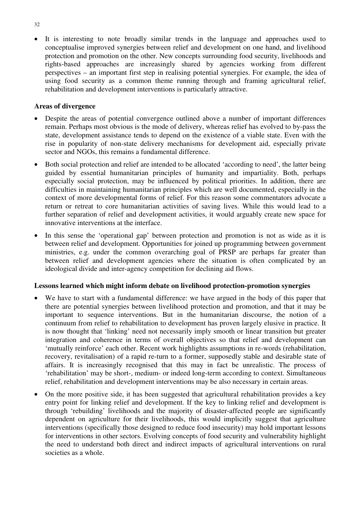• It is interesting to note broadly similar trends in the language and approaches used to conceptualise improved synergies between relief and development on one hand, and livelihood protection and promotion on the other. New concepts surrounding food security, livelihoods and rights-based approaches are increasingly shared by agencies working from different perspectives – an important first step in realising potential synergies. For example, the idea of using food security as a common theme running through and framing agricultural relief, rehabilitation and development interventions is particularly attractive.

### **Areas of divergence**

- Despite the areas of potential convergence outlined above a number of important differences remain. Perhaps most obvious is the mode of delivery, whereas relief has evolved to by-pass the state, development assistance tends to depend on the existence of a viable state. Even with the rise in popularity of non-state delivery mechanisms for development aid, especially private sector and NGOs, this remains a fundamental difference.
- Both social protection and relief are intended to be allocated 'according to need', the latter being guided by essential humanitarian principles of humanity and impartiality. Both, perhaps especially social protection, may be influenced by political priorities. In addition, there are difficulties in maintaining humanitarian principles which are well documented, especially in the context of more developmental forms of relief. For this reason some commentators advocate a return or retreat to core humanitarian activities of saving lives. While this would lead to a further separation of relief and development activities, it would arguably create new space for innovative interventions at the interface.
- In this sense the 'operational gap' between protection and promotion is not as wide as it is between relief and development. Opportunities for joined up programming between government ministries, e.g. under the common overarching goal of PRSP are perhaps far greater than between relief and development agencies where the situation is often complicated by an ideological divide and inter-agency competition for declining aid flows.

### **Lessons learned which might inform debate on livelihood protection-promotion synergies**

- We have to start with a fundamental difference: we have argued in the body of this paper that there are potential synergies between livelihood protection and promotion, and that it may be important to sequence interventions. But in the humanitarian discourse, the notion of a continuum from relief to rehabilitation to development has proven largely elusive in practice. It is now thought that 'linking' need not necessarily imply smooth or linear transition but greater integration and coherence in terms of overall objectives so that relief and development can 'mutually reinforce' each other. Recent work highlights assumptions in re-words (rehabilitation, recovery, revitalisation) of a rapid re-turn to a former, supposedly stable and desirable state of affairs. It is increasingly recognised that this may in fact be unrealistic. The process of 'rehabilitation' may be short-, medium- or indeed long-term according to context. Simultaneous relief, rehabilitation and development interventions may be also necessary in certain areas.
- On the more positive side, it has been suggested that agricultural rehabilitation provides a key entry point for linking relief and development. If the key to linking relief and development is through 'rebuilding' livelihoods and the majority of disaster-affected people are significantly dependent on agriculture for their livelihoods, this would implicitly suggest that agriculture interventions (specifically those designed to reduce food insecurity) may hold important lessons for interventions in other sectors. Evolving concepts of food security and vulnerability highlight the need to understand both direct and indirect impacts of agricultural interventions on rural societies as a whole.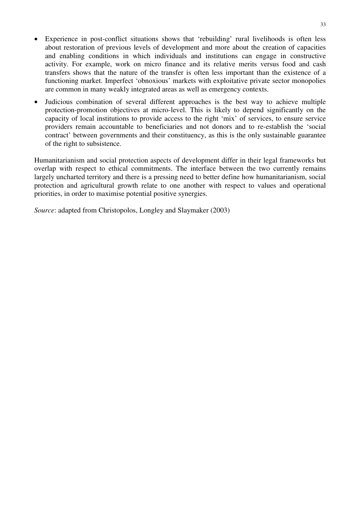- Experience in post-conflict situations shows that 'rebuilding' rural livelihoods is often less about restoration of previous levels of development and more about the creation of capacities and enabling conditions in which individuals and institutions can engage in constructive activity. For example, work on micro finance and its relative merits versus food and cash transfers shows that the nature of the transfer is often less important than the existence of a functioning market. Imperfect 'obnoxious' markets with exploitative private sector monopolies are common in many weakly integrated areas as well as emergency contexts.
- Judicious combination of several different approaches is the best way to achieve multiple protection-promotion objectives at micro-level. This is likely to depend significantly on the capacity of local institutions to provide access to the right 'mix' of services, to ensure service providers remain accountable to beneficiaries and not donors and to re-establish the 'social contract' between governments and their constituency, as this is the only sustainable guarantee of the right to subsistence.

Humanitarianism and social protection aspects of development differ in their legal frameworks but overlap with respect to ethical commitments. The interface between the two currently remains largely uncharted territory and there is a pressing need to better define how humanitarianism, social protection and agricultural growth relate to one another with respect to values and operational priorities, in order to maximise potential positive synergies.

*Source*: adapted from Christopolos, Longley and Slaymaker (2003)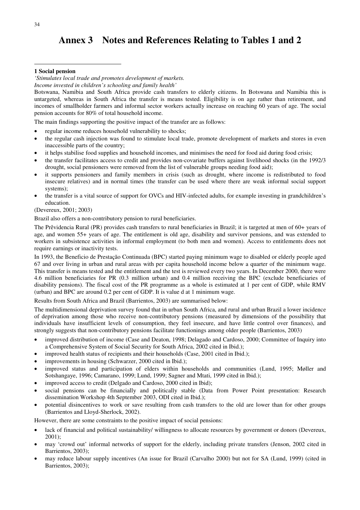# **Annex 3 Notes and References Relating to Tables 1 and 2**

### **1 Social pension**

*'Stimulates local trade and promotes development of markets.* 

*Income invested in children's schooling and family health'* 

Botswana, Namibia and South Africa provide cash transfers to elderly citizens. In Botswana and Namibia this is untargeted, whereas in South Africa the transfer is means tested. Eligibility is on age rather than retirement, and incomes of smallholder farmers and informal sector workers actually increase on reaching 60 years of age. The social pension accounts for 80% of total household income.

The main findings supporting the positive impact of the transfer are as follows:

- regular income reduces household vulnerability to shocks;
- the regular cash injection was found to stimulate local trade, promote development of markets and stores in even inaccessible parts of the country;
- it helps stabilise food supplies and household incomes, and minimises the need for food aid during food crisis;
- the transfer facilitates access to credit and provides non-covariate buffers against livelihood shocks (in the 1992/3 drought, social pensioners were removed from the list of vulnerable groups needing food aid);
- it supports pensioners and family members in crisis (such as drought, where income is redistributed to food insecure relatives) and in normal times (the transfer can be used where there are weak informal social support systems);
- the transfer is a vital source of support for OVCs and HIV-infected adults, for example investing in grandchildren's education.

(Devereux, 2001; 2003)

Brazil also offers a non-contributory pension to rural beneficiaries.

The Prêvidencia Rural (PR) provides cash transfers to rural beneficiaries in Brazil; it is targeted at men of 60+ years of age, and women 55+ years of age. The entitlement is old age, disability and survivor pensions, and was extended to workers in subsistence activities in informal employment (to both men and women). Access to entitlements does not require earnings or inactivity tests.

In 1993, the Beneficio de Prestação Continuada (BPC) started paying minimum wage to disabled or elderly people aged 67 and over living in urban and rural areas with per capita household income below a quarter of the minimum wage. This transfer is means tested and the entitlement and the test is reviewed every two years. In December 2000, there were 4.6 million beneficiaries for PR (0.3 million urban) and 0.4 million receiving the BPC (exclude beneficiaries of disability pensions). The fiscal cost of the PR programme as a whole is estimated at 1 per cent of GDP, while RMV (urban) and BPC are around 0.2 per cent of GDP. It is value d at 1 minimum wage.

Results from South Africa and Brazil (Barrientos, 2003) are summarised below:

The multidimensional deprivation survey found that in urban South Africa, and rural and urban Brazil a lower incidence of deprivation among those who receive non-contributory pensions (measured by dimensions of the possibility that individuals have insufficient levels of consumption, they feel insecure, and have little control over finances), and strongly suggests that non-contributory pensions facilitate functionings among older people (Barrientos, 2003)

- improved distribution of income (Case and Deaton, 1998; Delagado and Cardoso, 2000; Committee of Inquiry into a Comprehensive System of Social Security for South Africa, 2002 cited in Ibid.);
- improved health status of recipients and their households (Case, 2001 cited in Ibid.);
- improvements in housing (Schwarzer, 2000 cited in Ibid.);
- improved status and participation of elders within households and communities (Lund, 1995; Møller and Sotshangaye, 1996; Camarano, 1999; Lund, 1999; Sagner and Mtati, 1999 cited in Ibid.);
- improved access to credit (Delgado and Cardoso, 2000 cited in Ibid);
- social pensions can be financially and politically stable (Data from Power Point presentation: Research dissemination Workshop 4th September 2003, ODI cited in Ibid.);
- potential disincentives to work or save resulting from cash transfers to the old are lower than for other groups (Barrientos and Lloyd-Sherlock, 2002).

However, there are some constraints to the positive impact of social pensions:

- lack of financial and political sustainability/ willingness to allocate resources by government or donors (Devereux, 2001);
- may 'crowd out' informal networks of support for the elderly, including private transfers (Jenson, 2002 cited in Barrientos, 2003);
- may reduce labour supply incentives (An issue for Brazil (Carvalho 2000) but not for SA (Lund, 1999) (cited in Barrientos, 2003);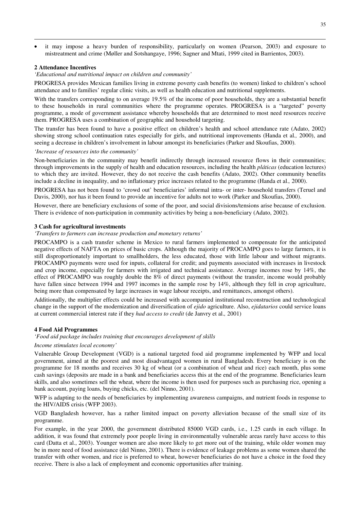• it may impose a heavy burden of responsibility, particularly on women (Pearson, 2003) and exposure to mistreatment and crime (Møller and Sotshangaye, 1996; Sagner and Mtati, 1999 cited in Barrientos, 2003).

#### **2 Attendance Incentives**

 $\overline{a}$ 

#### *'Educational and nutritional impact on children and community'*

PROGRESA provides Mexican families living in extreme poverty cash benefits (to women) linked to children's school attendance and to families' regular clinic visits, as well as health education and nutritional supplements.

With the transfers corresponding to on average 19.5% of the income of poor households, they are a substantial benefit to these households in rural communities where the programme operates. PROGRESA is a "targeted" poverty programme, a mode of government assistance whereby households that are determined to most need resources receive them. PROGRESA uses a combination of geographic and household targeting.

The transfer has been found to have a positive effect on children's health and school attendance rate (Adato, 2002) showing strong school continuation rates especially for girls, and nutritional improvements (Handa et al*.,* 2000), and seeing a decrease in children's involvement in labour amongst its beneficiaries (Parker and Skoufias, 2000).

#### *'Increase of resources into the community'*

Non-beneficiaries in the community may benefit indirectly through increased resource flows in their communities; through improvements in the supply of health and education resources, including the health *pláticas* (education lectures) to which they are invited. However, they do not receive the cash benefits (Adato, 2002). Other community benefits include a decline in inequality, and no inflationary price increases related to the programme (Handa et al.*,* 2000).

PROGRESA has not been found to 'crowd out' beneficiaries' informal intra- or inter- household transfers (Teruel and Davis, 2000), nor has it been found to provide an incentive for adults not to work (Parker and Skoufias, 2000).

However, there are beneficiary exclusions of some of the poor, and social divisions/tensions arise because of exclusion. There is evidence of non-participation in community activities by being a non-beneficiary (Adato, 2002).

#### **3 Cash for agricultural investments**

*'Transfers to farmers can increase production and monetary returns'* 

PROCAMPO is a cash transfer scheme in Mexico to rural farmers implemented to compensate for the anticipated negative effects of NAFTA on prices of basic crops. Although the majority of PROCAMPO goes to large farmers, it is still disproportionately important to smallholders, the less educated, those with little labour and without migrants. PROCAMPO payments were used for inputs, collateral for credit; and payments associated with increases in livestock and crop income, especially for farmers with irrigated and technical assistance. Average incomes rose by 14%, the effect of PROCAMPO was roughly double the 8% of direct payments (without the transfer, income would probably have fallen since between 1994 and 1997 incomes in the sample rose by 14%, although they fell in crop agriculture, being more than compensated by large increases in wage labour receipts, and remittances, amongst others).

Additionally, the multiplier effects could be increased with accompanied institutional reconstruction and technological change in the support of the modernization and diversification of *ejido* agriculture. Also, *ejidatarios* could service loans at current commercial interest rate if they *had access to credit* (de Janvry et al.*,* 2001)

#### **4 Food Aid Programmes**

*'Food aid package includes training that encourages development of skills* 

*Income stimulates local economy'* 

Vulnerable Group Development (VGD) is a national targeted food aid programme implemented by WFP and local government, aimed at the poorest and most disadvantaged women in rural Bangladesh. Every beneficiary is on the programme for 18 months and receives 30 kg of wheat (or a combination of wheat and rice) each month, plus some cash savings (deposits are made in a bank and beneficiaries access this at the end of the programme. Beneficiaries learn skills, and also sometimes sell the wheat, where the income is then used for purposes such as purchasing rice, opening a bank account, paying loans, buying chicks, etc. (del Ninno, 2001).

WFP is adapting to the needs of beneficiaries by implementing awareness campaigns, and nutrient foods in response to the HIV/AIDS crisis (WFP 2003).

VGD Bangladesh however, has a rather limited impact on poverty alleviation because of the small size of its programme.

For example, in the year 2000, the government distributed 85000 VGD cards, i.e., 1.25 cards in each village. In addition, it was found that extremely poor people living in environmentally vulnerable areas rarely have access to this card (Datta et al., 2003). Younger women are also more likely to get more out of the training, while older women may be in more need of food assistance (del Ninno, 2001). There is evidence of leakage problems as some women shared the transfer with other women, and rice is preferred to wheat, however beneficiaries do not have a choice in the food they receive. There is also a lack of employment and economic opportunities after training.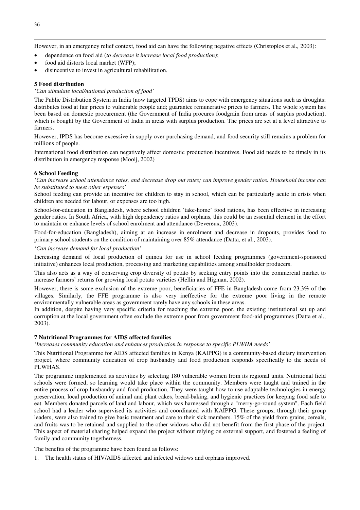However, in an emergency relief context, food aid can have the following negative effects (Christoplos et al.*,* 2003):

• dependence on food aid (*to decrease it increase local food production)*;

- food aid distorts local market (WFP);
- disincentive to invest in agricultural rehabilitation.

### **5 Food distribution**

#### *'Can stimulate local/national production of food'*

The Public Distribution System in India (now targeted TPDS) aims to cope with emergency situations such as droughts; distributes food at fair prices to vulnerable people and; guarantee remunerative prices to farmers. The whole system has been based on domestic procurement (the Government of India procures foodgrain from areas of surplus production), which is bought by the Government of India in areas with surplus production. The prices are set at a level attractive to farmers.

However, IPDS has become excessive in supply over purchasing demand, and food security still remains a problem for millions of people.

International food distribution can negatively affect domestic production incentives. Food aid needs to be timely in its distribution in emergency response (Mooij, 2002)

### **6 School Feeding**

*'Can increase school attendance rates, and decrease drop out rates; can improve gender ratios. Household income can be substituted to meet other expenses'* 

School feeding can provide an incentive for children to stay in school, which can be particularly acute in crisis when children are needed for labour, or expenses are too high.

School-for-education in Bangladesh, where school children 'take-home' food rations, has been effective in increasing gender ratios. In South Africa, with high dependency ratios and orphans, this could be an essential element in the effort to maintain or enhance levels of school enrolment and attendance (Devereux, 2003).

Food-for-education (Bangladesh), aiming at an increase in enrolment and decrease in dropouts, provides food to primary school students on the condition of maintaining over 85% attendance (Datta, et al., 2003).

*'Can increase demand for local production'* 

Increasing demand of local production of quinoa for use in school feeding programmes (government-sponsored initiative) enhances local production, processing and marketing capabilities among smallholder producers.

This also acts as a way of conserving crop diversity of potato by seeking entry points into the commercial market to increase farmers' returns for growing local potato varieties (Hellin and Higman, 2002).

However, there is some exclusion of the extreme poor, beneficiaries of FFE in Bangladesh come from 23.3% of the villages. Similarly, the FFE programme is also very ineffective for the extreme poor living in the remote environmentally vulnerable areas as government rarely have any schools in these areas.

In addition, despite having very specific criteria for reaching the extreme poor, the existing institutional set up and corruption at the local government often exclude the extreme poor from government food-aid programmes (Datta et al., 2003).

#### **7 Nutritional Programmes for AIDS affected families**

*'Increases community education and enhances production in response to specific PLWHA needs'* 

This Nutritional Programme for AIDS affected families in Kenya (KAIPPG) is a community-based dietary intervention project, where community education of crop husbandry and food production responds specifically to the needs of PLWHAS.

The programme implemented its activities by selecting 180 vulnerable women from its regional units. Nutritional field schools were formed, so learning would take place within the community. Members were taught and trained in the entire process of crop husbandry and food production. They were taught how to use adaptable technologies in energy preservation, local production of animal and plant cakes, bread-baking, and hygienic practices for keeping food safe to eat. Members donated parcels of land and labour, which was harnessed through a "merry-go-round system". Each field school had a leader who supervised its activities and coordinated with KAIPPG. These groups, through their group leaders, were also trained to give basic treatment and care to their sick members. 15% of the yield from grains, cereals, and fruits was to be retained and supplied to the other widows who did not benefit from the first phase of the project. This aspect of material sharing helped expand the project without relying on external support, and fostered a feeling of family and community togetherness.

The benefits of the programme have been found as follows:

1. The health status of HIV/AIDS affected and infected widows and orphans improved.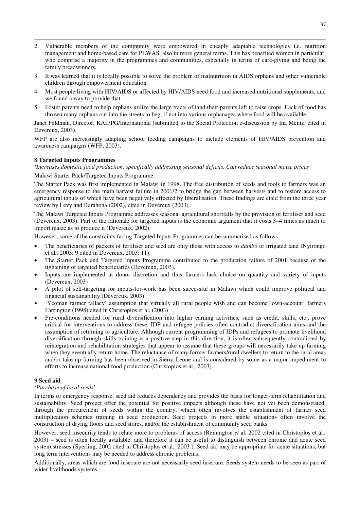- 2. Vulnerable members of the community were empowered in cheaply adaptable technologies i.e. nutrition management and home-based care for PLWAS, also in more general terms. This has benefited women in particular, who comprise a majority in the programmes and communities, especially in terms of care-giving and being the family breadwinners.
- 3. It was learned that it is locally possible to solve the problem of malnutrition in AIDS orphans and other vulnerable children through empowerment education.
- 4. Most people living with HIV/AIDS or affected by HIV/AIDS need food and increased nutritional supplements, and we found a way to provide that.
- 5. Foster parents need to help orphans utilize the large tracts of land their parents left to raise crops. Lack of food has thrown many orphans out into the streets to beg, if not into various orphanages where food will be available.

Janet Feldman, Director, KAIPPG/International (submitted to the Social Protection e-discussion by Ina Mentz: cited in Devereux, 2003).

WFP are also increasingly adapting school feeding campaigns to include elements of HIV/AIDS prevention and awareness campaigns (WFP, 2003).

#### **8 Targeted Inputs Programmes**

 $\overline{a}$ 

*'Increases domestic food production, specifically addressing seasonal deficits. Can reduce seasonal maize prices'* 

Malawi Starter Pack/Targeted Inputs Programme.

The Starter Pack was first implemented in Malawi in 1998. The free distribution of seeds and tools to farmers was an emergency response to the main harvest failure in 2001/2 to bridge the gap between harvests and to restore access to agricultural inputs of which have been negatively effected by liberalisation. These findings are cited from the three year review by Levy and Barahona (2002), cited in Devereux (2003).

The Malawi Targeted Inputs Programme addresses seasonal agricultural shortfalls by the provision of fertiliser and seed (Devereux, 2003). Part of the rationale for targeted inputs is the economic argument that it costs 3–4 times as much to import maize as to produce it (Devereux, 2002).

However, some of the constraints facing Targeted Inputs Programmes can be summarised as follows:

- The beneficiaries of packets of fertiliser and seed are only those with access to *dambo* or irrigated land (Nyirongo et al*.,* 2003: 9 cited in Devereux, 2003: 11).
- The Starter Pack and Targeted Inputs Programme contributed to the production failure of 2001 because of the tightening of targeted beneficiaries (Devereux, 2003).
- Inputs are implemented at donor discretion and thus farmers lack choice on quantity and variety of inputs (Devereux, 2003)
- A pilot of self-targeting for inputs-for-work has been successful in Malawi which could improve political and financial sustainability (Devereux, 2003)
- 'Yeoman farmer fallacy' assumption that virtually all rural people wish and can become 'own-account' farmers Farrington (1998) cited in Christoplos et al. (2003)
- Pre-conditions needed for rural diversification into higher earning activities, such as credit, skills, etc., prove critical for interventions to address these. IDP and refugee policies often contradict diversification aims and the assumption of returning to agriculture. Although current programming of IDPs and refugees to promote livelihood diversification through skills training is a positive step in this direction, it is often subsequently contradicted by reintegration and rehabilitation strategies that appear to assume that these groups will necessarily take up farming when they eventually return home. The reluctance of many former farmers/rural dwellers to return to the rural areas and/or take up farming has been observed in Sierra Leone and is considered by some as a major impediment to efforts to increase national food production (Christoplos et al.*,* 2003).

#### **9 Seed aid**

#### *'Purchase of local seeds*'

In terms of emergency response, seed aid reduces dependency and provides the basis for longer-term rehabilitation and sustainability. Seed project offer the potential for positive impacts although these have not yet been demonstrated, through the procurement of seeds within the country, which often involves the establishment of farmer seed multiplication schemes training in seed production. Seed projects in more stable situations often involve the construction of drying floors and seed stores, and/or the establishment of community seed banks.

However, seed insecurity tends to relate more to problems of access (Remington *et* al, 2002 cited in Christoplos et al*.,*  2003) – seed is often locally available, and therefore it can be useful to distinguish between chronic and acute seed system stresses (Sperling, 2002 cited in Christoplos et al*.,* 2003 ). Seed aid may be appropriate for acute situations, but long term interventions may be needed to address chronic problems.

Additionally, areas which are food insecure are not necessarily seed insecure. Seeds system needs to be seen as part of wider livelihoods systems.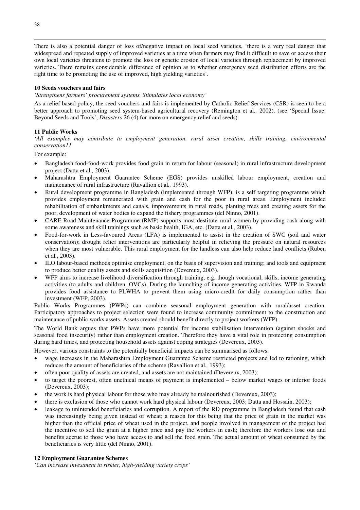There is also a potential danger of loss of/negative impact on local seed varieties, 'there is a very real danger that widespread and repeated supply of improved varieties at a time when farmers may find it difficult to save or access their own local varieties threatens to promote the loss or genetic erosion of local varieties through replacement by improved varieties. There remains considerable difference of opinion as to whether emergency seed distribution efforts are the right time to be promoting the use of improved, high yielding varieties'.

#### **10 Seeds vouchers and fairs**

*'Strengthens farmers' procurement systems. Stimulates local economy'* 

As a relief based policy, the seed vouchers and fairs is implemented by Catholic Relief Services (CSR) is seen to be a better approach to promoting seed system-based agricultural recovery (Remington et al*.,* 2002). (see 'Special Issue: Beyond Seeds and Tools', *Disasters* 26 (4) for more on emergency relief and seeds).

#### **11 Public Works**

*'All examples may contribute to employment generation, rural asset creation, skills training, environmental conservation11* 

For example:

- Bangladesh food-food-work provides food grain in return for labour (seasonal) in rural infrastructure development project (Datta et al*.,* 2003).
- Maharashtra Employment Guarantee Scheme (EGS) provides unskilled labour employment, creation and maintenance of rural infrastructure (Ravallion et al*.,* 1993).
- Rural development programme in Bangladesh (implemented through WFP), is a self targeting programme which provides employment remunerated with grain and cash for the poor in rural areas. Employment included rehabilitation of embankments and canals, improvements in rural roads, planting trees and creating assets for the poor, development of water bodies to expand the fishery programmes (del Ninno, 2001).
- CARE Road Maintenance Programme (RMP) supports most destitute rural women by providing cash along with some awareness and skill trainings such as basic health, IGA, etc. (Datta et al*.,* 2003).
- Food-for-work in Less-favoured Areas (LFA) is implemented to assist in the creation of SWC (soil and water conservation); drought relief interventions are particularly helpful in relieving the pressure on natural resources when they are most vulnerable. This rural employment for the landless can also help reduce land conflicts (Ruben et al*.*, 2003).
- ILO labour-based methods optimise employment, on the basis of supervision and training; and tools and equipment to produce better quality assets and skills acquisition (Devereux, 2003).
- WFP aims to increase livelihood diversification through training, e.g. though vocational, skills, income generating activities (to adults and children, OVCs). During the launching of income generating activities, WFP in Rwanda provides food assistance to PLWHA to prevent them using micro-credit for daily consumption rather than investment (WFP, 2003).

Public Works Programmes (PWPs) can combine seasonal employment generation with rural/asset creation. Participatory approaches to project selection were found to increase community commitment to the construction and maintenance of public works assets. Assets created should benefit directly to project workers (WFP).

The World Bank argues that PWPs have more potential for income stabilisation intervention (against shocks and seasonal food insecurity) rather than employment creation. Therefore they have a vital role in protecting consumption during hard times, and protecting household assets against coping strategies (Devereux, 2003).

However, various constraints to the potentially beneficial impacts can be summarised as follows:

- wage increases in the Maharashtra Employment Guarantee Scheme restricted projects and led to rationing, which reduces the amount of beneficiaries of the scheme (Ravallion et al*.,* 1993);
- often poor quality of assets are created, and assets are not maintained (Devereux, 2003);
- to target the poorest, often unethical means of payment is implemented below market wages or inferior foods (Devereux, 2003);
- the work is hard physical labour for those who may already be malnourished (Devereux, 2003);
- there is exclusion of those who cannot work hard physical labour (Devereux, 2003; Datta and Hossain, 2003);
- leakage to unintended beneficiaries and corruption. A report of the RD programme in Bangladesh found that cash was increasingly being given instead of wheat; a reason for this being that the price of grain in the market was higher than the official price of wheat used in the project, and people involved in management of the project had the incentive to sell the grain at a higher price and pay the workers in cash; therefore the workers lose out and benefits accrue to those who have access to and sell the food grain. The actual amount of wheat consumed by the beneficiaries is very little (del Ninno, 2001).

#### **12 Employment Guarantee Schemes**

*'Can increase investment in riskier, high-yielding variety crops'*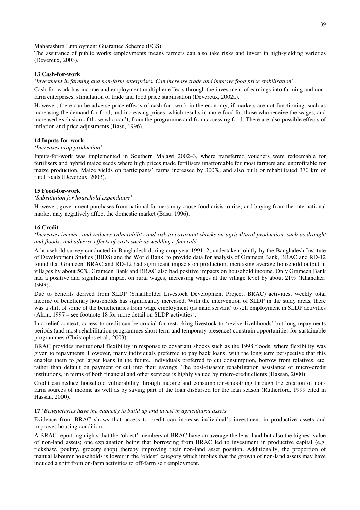Maharashtra Employment Guarantee Scheme (EGS)

The assurance of public works employments means farmers can also take risks and invest in high-yielding varieties (Devereux, 2003).

#### **13 Cash-for-work**

 $\overline{a}$ 

*'Investment in farming and non-farm enterprises. Can increase trade and improve food price stabilisation'* 

Cash-for-work has income and employment multiplier effects through the investment of earnings into farming and nonfarm enterprises, stimulation of trade and food price stabilisation (Devereux, 2002a).

However, there can be adverse price effects of cash-for- work in the economy, if markets are not functioning, such as increasing the demand for food, and increasing prices, which results in more food for those who receive the wages, and increased exclusion of those who can't, from the programme and from accessing food. There are also possible effects of inflation and price adjustments (Basu, 1996).

#### **14 Inputs-for-work**

#### *'Increases crop production'*

Inputs-for-work was implemented in Southern Malawi 2002–3, where transferred vouchers were redeemable for fertilisers and hybrid maize seeds where high prices made fertilisers unaffordable for most farmers and unprofitable for maize production. Maize yields on participants' farms increased by 300%, and also built or rehabilitated 370 km of rural roads (Devereux, 2003).

#### **15 Food-for-work**

#### *'Substitution for household expenditure'*

However, government purchases from national farmers may cause food crisis to rise; and buying from the international market may negatively affect the domestic market (Basu, 1996).

#### **16 Credit**

*'Increases income, and reduces vulnerability and risk to covariant shocks on agricultural production, such as drought and floods; and adverse effects of costs such as weddings, funerals*'

A household survey conducted in Bangladesh during crop year 1991–2, undertaken jointly by the Bangladesh Institute of Development Studies (BIDS) and the World Bank, to provide data for analysis of Grameen Bank, BRAC and RD-12 found that Grameen, BRAC and RD-12 had significant impacts on production, increasing average household output in villages by about 50%. Grameen Bank and BRAC also had positive impacts on household income. Only Grameen Bank had a positive and significant impact on rural wages, increasing wages at the village level by about 21% (Khandker, 1998).

Due to benefits derived from SLDP (Smallholder Livestock Development Project, BRAC) activities, weekly total income of beneficiary households has significantly increased. With the intervention of SLDP in the study areas, there was a shift of some of the beneficiaries from wage employment (as maid servant) to self employment in SLDP activities (Alam, 1997 – see footnote 18 for more detail on SLDP activities).

In a relief context, access to credit can be crucial for restocking livestock to 'revive livelihoods' but long repayments periods (and most rehabilitation programmes short term and temporary presence) constrain opportunities for sustainable programmes (Christoplos et al.*,* 2003).

BRAC provides institutional flexibility in response to covariant shocks such as the 1998 floods, where flexibility was given to repayments. However, many individuals preferred to pay back loans, with the long term perspective that this enables them to get larger loans in the future. Individuals preferred to cut consumption, borrow from relatives, etc. rather than default on payment or cut into their savings. The post-disaster rehabilitation assistance of micro-credit institutions, in terms of both financial and other services is highly valued by micro-credit clients (Hassan, 2000).

Credit can reduce household vulnerability through income and consumption-smoothing through the creation of nonfarm sources of income as well as by saving part of the loan disbursed for the lean season (Rutherford, 1999 cited in Hassan, 2000).

#### **17** '*Beneficiaries have the capacity to build up and invest in agricultural assets'*

Evidence from BRAC shows that access to credit can increase individual's investment in productive assets and improves housing condition.

A BRAC report highlights that the 'oldest' members of BRAC have on average the least land but also the highest value of non-land assets; one explanation being that borrowing from BRAC led to investment in productive capital (e.g. rickshaw, poultry, grocery shop) thereby improving their non-land asset position. Additionally, the proportion of manual labourer households is lower in the 'oldest' category which implies that the growth of non-land assets may have induced a shift from on-farm activities to off-farm self employment.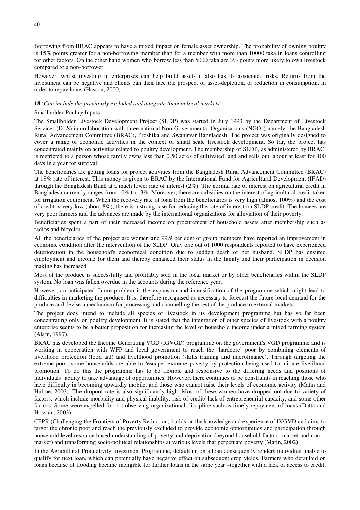Borrowing from BRAC appears to have a mixed impact on female asset ownership. The probability of owning poultry is 15% points greater for a non-borrowing member than for a member with more than 10000 taka in loans controlling for other factors. On the other hand women who borrow less than 5000 taka are 3% points more likely to own livestock compared to a non-borrower.

However, whilst investing in enterprises can help build assets it also has its associated risks. Returns from the investment can be negative and clients can then face the prospect of asset-depletion, or reduction in consumption, in order to repay loans (Hassan, 2000).

#### **18** '*Can include the previously excluded and integrate them in local markets'*

#### Smallholder Poultry Inputs

The Smallholder Livestock Development Project (SLDP) was started in July 1993 by the Department of Livestock Services (DLS) in collaboration with three national Non-Governmental Organisations (NGOs) namely, the Bangladesh Rural Advancement Committee (BRAC), Proshika and Swanirvar Bangladesh. The project was originally designed to cover a range of economic activities in the context of small scale livestock development. So far, the project has concentrated mainly on activities related to poultry development. The membership of SLDP, as administered by BRAC, is restricted to a person whose family owns less than 0.50 acres of cultivated land and sells out labour at least for 100 days in a year for survival.

The beneficiaries are getting loans for project activities from the Bangladesh Rural Advancement Committee (BRAC) at 18% rate of interest. This money is given to BRAC by the International Fund for Agricultural Development (IFAD) through the Bangladesh Bank at a much lower rate of interest (2%). The normal rate of interest on agricultural credit in Bangladesh currently ranges from 10% to 13%. Moreover, there are subsidies on the interest of agricultural credit taken for irrigation equipment. When the recovery rate of loan from the beneficiaries is very high (almost 100%) and the cost of credit is very low (about 8%), there is a strong case for reducing the rate of interest on SLDP credit. The loanees are very poor farmers and the advances are made by the international organizations for alleviation of their poverty.

Beneficiaries spent a part of their increased income on procurement of household assets after membership such as radios and bicycles.

All the beneficiaries of the project are women and 99.9 per cent of group members have reported an improvement in economic condition after the intervention of the SLDP. Only one out of 1000 respondents reported to have experienced deterioration in the household's economical condition due to sudden death of her husband. SLDP has ensured employment and income for them and thereby enhanced their status in the family and their participation in decision making has increased.

Most of the produce is successfully and profitably sold in the local market or by other beneficiaries within the SLDP system. No loan was fallen overdue in the accounts during the reference year.

However, an anticipated future problem is the expansion and intensification of the programme which might lead to difficulties in marketing the produce. It is, therefore recognised as necessary to forecast the future local demand for the produce and devise a mechanism for processing and channelling the rest of the produce to external markets.

The project does intend to include all species of livestock in its development programme but has so far been concentrating only on poultry development. It is stated that the integration of other species of livestock with a poultry enterprise seems to be a better proposition for increasing the level of household income under a mixed farming system (Alam, 1997).

BRAC has developed the Income Generating VGD (IGVGD) programme on the government's VGD programme and is working in cooperation with WFP and local government to reach the 'hardcore' poor by combining elements of livelihood protection (food aid) and livelihood promotion (skills training and microfinance). Through targeting the extreme poor, some households are able to 'escape' extreme poverty by protection being used to initiate livelihood promotion. To do this the programme has to be flexible and responsive to the differing needs and positions of individuals' ability to take advantage of opportunities. However, there continues to be constraints in reaching those who have difficulty in becoming upwardly mobile, and those who cannot raise their levels of economic activity (Matin and Hulme, 2003). The dropout rate is also significantly high. Most of these women have dropped out due to variety of factors, which include morbidity and physical inability, risk of credit/ lack of entrepreneurial capacity, and some other factors. Some were expelled for not observing organizational discipline such as timely repayment of loans (Datta and Hossain, 2003).

CFPR (Challenging the Frontiers of Poverty Reduction) builds on the knowledge and experience of IVGVD and aims to target the chronic poor and reach the previously excluded to provide economic opportunities and participation through household level resource based understanding of poverty and deprivation (beyond household factors, market and non market) and transforming socio-political relationships at various levels that perpetuate poverty (Matin, 2002).

In the Agricultural Productivity Investment Programme, defaulting on a loan consequently renders individual unable to qualify for next loan, which can potentially have negative effect on subsequent crop yields. Farmers who defaulted on loans because of flooding became ineligible for further loans in the same year –together with a lack of access to credit,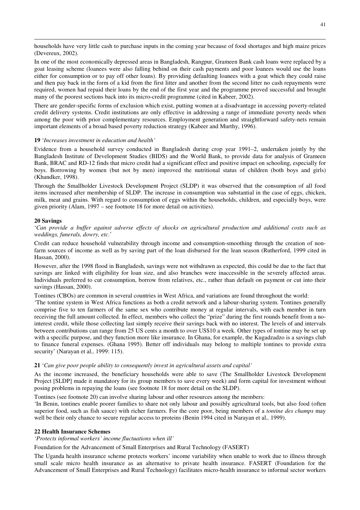households have very little cash to purchase inputs in the coming year because of food shortages and high maize prices (Devereux, 2002).

In one of the most economically depressed areas in Bangladesh, Rangpur, Grameen Bank cash loans were replaced by a goat leasing scheme (loanees were also falling behind on their cash payments and poor loanees would use the loans either for consumption or to pay off other loans). By providing defaulting loanees with a goat which they could raise and then pay back in the form of a kid from the first litter and another from the second litter no cash repayments were required, women had repaid their loans by the end of the first year and the programme proved successful and brought many of the poorest sections back into its micro-credit programme (cited in Kabeer, 2002).

There are gender-specific forms of exclusion which exist, putting women at a disadvantage in accessing poverty-related credit delivery systems. Credit institutions are only effective in addressing a range of immediate poverty needs when among the poor with prior complementary resources. Employment generation and straightforward safety-nets remain important elements of a broad based poverty reduction strategy (Kabeer and Murthy, 1996).

#### **19** '*Increases investment in education and health'*

Evidence from a household survey conducted in Bangladesh during crop year 1991–2, undertaken jointly by the Bangladesh Institute of Development Studies (BIDS) and the World Bank, to provide data for analysis of Grameen Bank, BRAC and RD-12 finds that micro credit had a significant effect and positive impact on schooling, especially for boys. Borrowing by women (but not by men) improved the nutritional status of children (both boys and girls) (Khandker, 1998).

Through the Smallholder Livestock Development Project (SLDP) it was observed that the consumption of all food items increased after membership of SLDP. The increase in consumption was substantial in the case of eggs, chicken, milk, meat and grains. With regard to consumption of eggs within the households, children, and especially boys, were given priority (Alam, 1997 – see footnote 18 for more detail on activities).

#### **20 Savings**

 $\overline{a}$ 

'*Can provide a buffer against adverse effects of shocks on agricultural production and additional costs such as weddings, funerals, dowry, etc*.'

Credit can reduce household vulnerability through income and consumption-smoothing through the creation of nonfarm sources of income as well as by saving part of the loan disbursed for the lean season (Rutherford, 1999 cited in Hassan, 2000).

However, after the 1998 flood in Bangladesh, savings were not withdrawn as expected, this could be due to the fact that savings are linked with eligibility for loan size, and also branches were inaccessible in the severely affected areas. Individuals preferred to cut consumption, borrow from relatives, etc., rather than default on payment or cut into their savings (Hassan, 2000).

Tontines (CBOs) are common in several countries in West Africa, and variations are found throughout the world:

'The tontine system in West Africa functions as both a credit network and a labour-sharing system. Tontines generally comprise five to ten farmers of the same sex who contribute money at regular intervals, with each member in turn receiving the full amount collected. In effect, members who collect the "prize" during the first rounds benefit from a nointerest credit, while those collecting last simply receive their savings back with no interest. The levels of and intervals between contributions can range from 25 US cents a month to over US\$10 a week. Other types of tontine may be set up with a specific purpose, and they function more like insurance. In Ghana, for example, the Kugadzadzo is a savings club to finance funeral expenses. (Ghana 1995). Better off individuals may belong to multiple tontines to provide extra security' (Narayan et al*.,* 1999: 115).

#### **21** '*Can give poor people ability to consequently invest in agricultural assets and capital'*

As the income increased, the beneficiary households were able to save (The Smallholder Livestock Development Project [SLDP] made it mandatory for its group members to save every week) and form capital for investment without posing problems in repaying the loans (see footnote 18 for more detail on the SLDP).

Tontines (see footnote 20) can involve sharing labour and other resources among the members:

'In Benin, tontines enable poorer families to share not only labour and possibly agricultural tools, but also food (often superior food, such as fish sauce) with richer farmers. For the core poor, being members of a *tontine des champs* may well be their only chance to secure regular access to proteins (Benin 1994 cited in Narayan et al*.,* 1999).

#### **22 Health Insurance Schemes**

*'Protects informal workers' income fluctuations when ill'* 

Foundation for the Advancement of Small Enterprises and Rural Technology (FASERT)

The Uganda health insurance scheme protects workers' income variability when unable to work due to illness through small scale micro health insurance as an alternative to private health insurance. FASERT (Foundation for the Advancement of Small Enterprises and Rural Technology) facilitates micro-health insurance to informal sector workers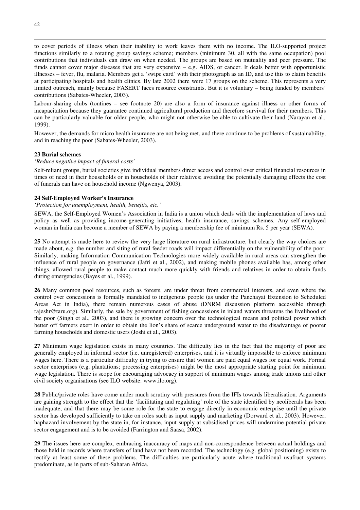to cover periods of illness when their inability to work leaves them with no income. The ILO-supported project functions similarly to a rotating group savings scheme; members (minimum 30, all with the same occupation) pool contributions that individuals can draw on when needed. The groups are based on mutuality and peer pressure. The funds cannot cover major diseases that are very expensive – e.g. AIDS, or cancer. It deals better with opportunistic illnesses – fever, flu, malaria. Members get a 'swipe card' with their photograph as an ID, and use this to claim benefits at participating hospitals and health clinics. By late 2002 there were 17 groups on the scheme. This represents a very limited outreach, mainly because FASERT faces resource constraints. But it is voluntary – being funded by members' contributions (Sabates-Wheeler, 2003).

Labour-sharing clubs (tontines – see footnote 20) are also a form of insurance against illness or other forms of incapacitation because they guarantee continued agricultural production and therefore survival for their members. This can be particularly valuable for older people, who might not otherwise be able to cultivate their land (Narayan et al*.,* 1999).

However, the demands for micro health insurance are not being met, and there continue to be problems of sustainability, and in reaching the poor (Sabates-Wheeler, 2003).

#### **23 Burial schemes**

#### *'Reduce negative impact of funeral costs'*

Self-reliant groups, burial societies give individual members direct access and control over critical financial resources in times of need in their households or in households of their relatives; avoiding the potentially damaging effects the cost of funerals can have on household income (Ngwenya, 2003).

#### **24 Self-Employed Worker's Insurance**

#### *'Protection for unemployment, health, benefits, etc.'*

SEWA, the Self-Employed Women's Association in India is a union which deals with the implementation of laws and policy as well as providing income-generating initiatives, health insurance, savings schemes. Any self-employed woman in India can become a member of SEWA by paying a membership fee of minimum Rs. 5 per year (SEWA).

**25** No attempt is made here to review the very large literature on rural infrastructure, but clearly the way choices are made about, e.g. the number and siting of rural feeder roads will impact differentially on the vulnerability of the poor. Similarly, making Information Communication Technologies more widely available in rural areas can strengthen the influence of rural people on governance (Jafri et al., 2002), and making mobile phones available has, among other things, allowed rural people to make contact much more quickly with friends and relatives in order to obtain funds during emergencies (Bayes et al., 1999).

**26** Many common pool resources, such as forests, are under threat from commercial interests, and even where the control over concessions is formally mandated to indigenous people (as under the Panchayat Extension to Scheduled Areas Act in India), there remain numerous cases of abuse (DNRM discussion platform accessible through rajeshr@taru.org). Similarly, the sale by government of fishing concessions in inland waters threatens the livelihood of the poor (Singh et al., 2003), and there is growing concern over the technological means and political power which better off farmers exert in order to obtain the lion's share of scarce underground water to the disadvantage of poorer farming households and domestic users (Joshi et al., 2003).

**27** Minimum wage legislation exists in many countries. The difficulty lies in the fact that the majority of poor are generally employed in informal sector (i.e. unregistered) enterprises, and it is virtually impossible to enforce minimum wages here. There is a particular difficulty in trying to ensure that women are paid equal wages for equal work. Formal sector enterprises (e.g. plantations; processing enterprises) might be the most appropriate starting point for minimum wage legislation. There is scope for encouraging advocacy in support of minimum wages among trade unions and other civil society organisations (see ILO website: www.ilo.org).

**28** Public/private roles have come under much scrutiny with pressures from the IFIs towards liberalisation. Arguments are gaining strength to the effect that the 'facilitating and regulating' role of the state identified by neoliberals has been inadequate, and that there may be some role for the state to engage directly in economic enterprise until the private sector has developed sufficiently to take on roles such as input supply and marketing (Dorward et al., 2003). However, haphazard involvement by the state in, for instance, input supply at subsidised prices will undermine potential private sector engagement and is to be avoided (Farrington and Saasa, 2002).

**29** The issues here are complex, embracing inaccuracy of maps and non-correspondence between actual holdings and those held in records where transfers of land have not been recorded. The technology (e.g. global positioning) exists to rectify at least some of these problems. The difficulties are particularly acute where traditional usufruct systems predominate, as in parts of sub-Saharan Africa.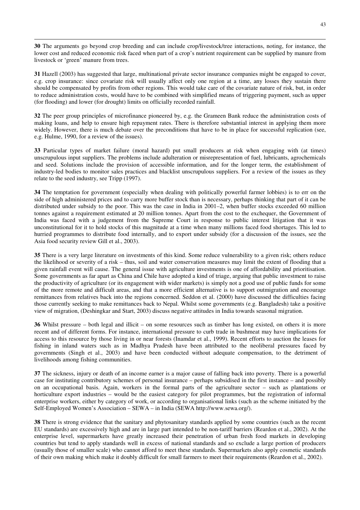**30** The arguments go beyond crop breeding and can include crop/livestock/tree interactions, noting, for instance, the lower cost and reduced economic risk faced when part of a crop's nutrient requirement can be supplied by manure from livestock or 'green' manure from trees.

 $\overline{a}$ 

**31** Hazell (2003) has suggested that large, multinational private sector insurance companies might be engaged to cover, e.g. crop insurance: since covariate risk will usually affect only one region at a time, any losses they sustain there should be compensated by profits from other regions. This would take care of the covariate nature of risk, but, in order to reduce administration costs, would have to be combined with simplified means of triggering payment, such as upper (for flooding) and lower (for drought) limits on officially recorded rainfall.

**32** The peer group principles of microfinance pioneered by, e.g. the Grameen Bank reduce the administration costs of making loans, and help to ensure high repayment rates. There is therefore substantial interest in applying them more widely. However, there is much debate over the preconditions that have to be in place for successful replication (see, e.g. Hulme, 1990, for a review of the issues).

**33** Particular types of market failure (moral hazard) put small producers at risk when engaging with (at times) unscrupulous input suppliers. The problems include adulteration or misrepresentation of fuel, lubricants, agrochemicals and seed. Solutions include the provision of accessible information, and for the longer term, the establishment of industry-led bodies to monitor sales practices and blacklist unscrupulous suppliers. For a review of the issues as they relate to the seed industry, see Tripp (1997).

**34** The temptation for government (especially when dealing with politically powerful farmer lobbies) is to err on the side of high administered prices and to carry more buffer stock than is necessary, perhaps thinking that part of it can be distributed under subsidy to the poor. This was the case in India in 2001–2, when buffer stocks exceeded 60 million tonnes against a requirement estimated at 20 million tonnes. Apart from the cost to the exchequer, the Government of India was faced with a judgement from the Supreme Court in response to public interest litigation that it was unconstitutional for it to hold stocks of this magnitude at a time when many millions faced food shortages. This led to hurried programmes to distribute food internally, and to export under subsidy (for a discussion of the issues, see the Asia food security review Gill et al., 2003).

**35** There is a very large literature on investments of this kind. Some reduce vulnerability to a given risk; others reduce the likelihood or severity of a risk – thus, soil and water conservation measures may limit the extent of flooding that a given rainfall event will cause. The general issue with agriculture investments is one of affordability and prioritisation. Some governments as far apart as China and Chile have adopted a kind of triage, arguing that public investment to raise the productivity of agriculture (or its engagement with wider markets) is simply not a good use of public funds for some of the more remote and difficult areas, and that a more efficient alternative is to support outmigration and encourage remittances from relatives back into the regions concerned. Seddon et al. (2000) have discussed the difficulties facing those currently seeking to make remittances back to Nepal. Whilst some governments (e.g. Bangladesh) take a positive view of migration, (Deshingkar and Start, 2003) discuss negative attitudes in India towards seasonal migration.

**36** Whilst pressure – both legal and illicit – on some resources such as timber has long existed, on others it is more recent and of different forms. For instance, international pressure to curb trade in bushmeat may have implications for access to this resource by those living in or near forests (Inamdar et al., 1999). Recent efforts to auction the leases for fishing in inland waters such as in Madhya Pradesh have been attributed to the neoliberal pressures faced by governments (Singh et al., 2003) and have been conducted without adequate compensation, to the detriment of livelihoods among fishing communities.

**37** The sickness, injury or death of an income earner is a major cause of falling back into poverty. There is a powerful case for instituting contributory schemes of personal insurance – perhaps subsidised in the first instance – and possibly on an occupational basis. Again, workers in the formal parts of the agriculture sector – such as plantations or horticulture export industries – would be the easiest category for pilot programmes, but the registration of informal enterprise workers, either by category of work, or according to organisational links (such as the scheme initiated by the Self-Employed Women's Association – SEWA – in India (SEWA http://www.sewa.org/).

**38** There is strong evidence that the sanitary and phytosanitary standards applied by some countries (such as the recent EU standards) are excessively high and are in large part intended to be non-tariff barriers (Reardon et al., 2002). At the enterprise level, supermarkets have greatly increased their penetration of urban fresh food markets in developing countries but tend to apply standards well in excess of national standards and so exclude a large portion of producers (usually those of smaller scale) who cannot afford to meet these standards. Supermarkets also apply cosmetic standards of their own making which make it doubly difficult for small farmers to meet their requirements (Reardon et al., 2002).